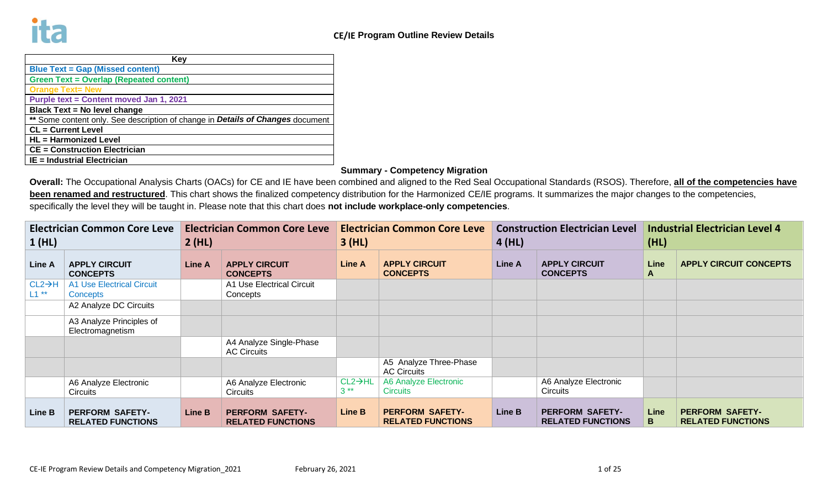| Key                                                                            |
|--------------------------------------------------------------------------------|
| <b>Blue Text = Gap (Missed content)</b>                                        |
| <b>Green Text = Overlap (Repeated content)</b>                                 |
| <b>Orange Text= New</b>                                                        |
| Purple text = Content moved Jan 1, 2021                                        |
| <b>Black Text = No level change</b>                                            |
| ** Some content only. See description of change in Details of Changes document |
| <b>CL</b> = Current Level                                                      |
| HL = Harmonized Level                                                          |
| <b>CE = Construction Electrician</b>                                           |
| <b>IE</b> = Industrial Electrician                                             |

## **Summary - Competency Migration**

**Overall:** The Occupational Analysis Charts (OACs) for CE and IE have been combined and aligned to the Red Seal Occupational Standards (RSOS). Therefore, **all of the competencies have**  been renamed and restructured. This chart shows the finalized competency distribution for the Harmonized CE/IE programs. It summarizes the major changes to the competencies, specifically the level they will be taught in. Please note that this chart does **not include workplace-only competencies**.

| <b>Electrician Common Core Leve</b> |                                                    | <b>Electrician Common Core Leve</b> |                                                    | <b>Electrician Common Core Leve</b> |                                                    | <b>Construction Electrician Level</b> |                                                    | <b>Industrial Electrician Level 4</b> |                                                    |
|-------------------------------------|----------------------------------------------------|-------------------------------------|----------------------------------------------------|-------------------------------------|----------------------------------------------------|---------------------------------------|----------------------------------------------------|---------------------------------------|----------------------------------------------------|
| 1(HL)                               |                                                    | 2(HL)                               |                                                    | 3(HL)                               |                                                    | 4(HL)                                 |                                                    | (HL)                                  |                                                    |
| Line A                              | <b>APPLY CIRCUIT</b><br><b>CONCEPTS</b>            | <b>Line A</b>                       | <b>APPLY CIRCUIT</b><br><b>CONCEPTS</b>            | Line A                              | <b>APPLY CIRCUIT</b><br><b>CONCEPTS</b>            | <b>Line A</b>                         | <b>APPLY CIRCUIT</b><br><b>CONCEPTS</b>            | Line<br>A                             | <b>APPLY CIRCUIT CONCEPTS</b>                      |
| $CL2 \rightarrow H$<br>$L1**$       | <b>A1 Use Electrical Circuit</b><br>Concepts       |                                     | A1 Use Electrical Circuit<br>Concepts              |                                     |                                                    |                                       |                                                    |                                       |                                                    |
|                                     | A2 Analyze DC Circuits                             |                                     |                                                    |                                     |                                                    |                                       |                                                    |                                       |                                                    |
|                                     | A3 Analyze Principles of<br>Electromagnetism       |                                     |                                                    |                                     |                                                    |                                       |                                                    |                                       |                                                    |
|                                     |                                                    |                                     | A4 Analyze Single-Phase<br><b>AC Circuits</b>      |                                     |                                                    |                                       |                                                    |                                       |                                                    |
|                                     |                                                    |                                     |                                                    |                                     | A5 Analyze Three-Phase<br><b>AC Circuits</b>       |                                       |                                                    |                                       |                                                    |
|                                     | A6 Analyze Electronic<br>Circuits                  |                                     | A6 Analyze Electronic<br><b>Circuits</b>           | $CL2 \rightarrow H1$<br>$3**$       | A6 Analyze Electronic<br><b>Circuits</b>           |                                       | A6 Analyze Electronic<br><b>Circuits</b>           |                                       |                                                    |
| Line B                              | <b>PERFORM SAFETY-</b><br><b>RELATED FUNCTIONS</b> | Line B                              | <b>PERFORM SAFETY-</b><br><b>RELATED FUNCTIONS</b> | Line B                              | <b>PERFORM SAFETY-</b><br><b>RELATED FUNCTIONS</b> | Line B                                | <b>PERFORM SAFETY-</b><br><b>RELATED FUNCTIONS</b> | <b>Line</b><br>В                      | <b>PERFORM SAFETY-</b><br><b>RELATED FUNCTIONS</b> |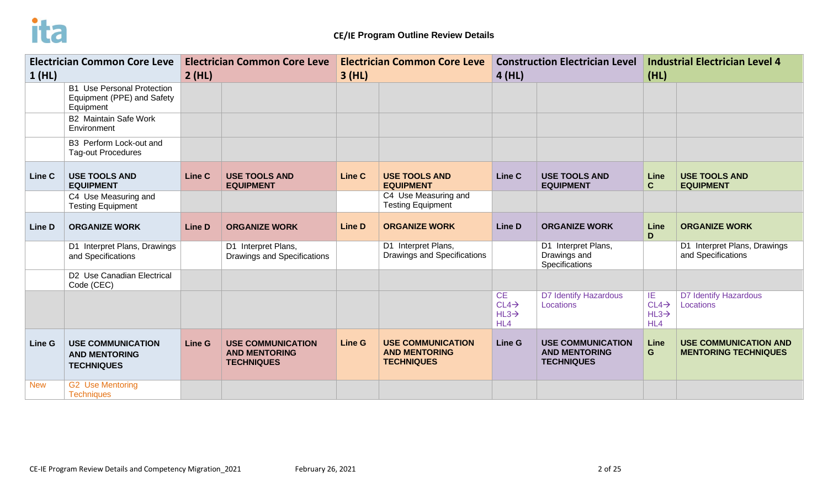

| <b>Electrician Common Core Leve</b> |                                                                              | <b>Electrician Common Core Leve</b> |                                                                       | <b>Electrician Common Core Leve</b> |                                                                       | <b>Construction Electrician Level</b>                    |                                                                       | <b>Industrial Electrician Level 4</b>             |                                                             |
|-------------------------------------|------------------------------------------------------------------------------|-------------------------------------|-----------------------------------------------------------------------|-------------------------------------|-----------------------------------------------------------------------|----------------------------------------------------------|-----------------------------------------------------------------------|---------------------------------------------------|-------------------------------------------------------------|
| 1(HL)                               |                                                                              | 2(HL)<br>4(HL)<br>3(HL)             |                                                                       | (HL)                                |                                                                       |                                                          |                                                                       |                                                   |                                                             |
|                                     | <b>B1 Use Personal Protection</b><br>Equipment (PPE) and Safety<br>Equipment |                                     |                                                                       |                                     |                                                                       |                                                          |                                                                       |                                                   |                                                             |
|                                     | <b>B2 Maintain Safe Work</b><br>Environment                                  |                                     |                                                                       |                                     |                                                                       |                                                          |                                                                       |                                                   |                                                             |
|                                     | B3 Perform Lock-out and<br><b>Tag-out Procedures</b>                         |                                     |                                                                       |                                     |                                                                       |                                                          |                                                                       |                                                   |                                                             |
| Line C                              | <b>USE TOOLS AND</b><br><b>EQUIPMENT</b>                                     | Line C                              | <b>USE TOOLS AND</b><br><b>EQUIPMENT</b>                              | <b>Line C</b>                       | <b>USE TOOLS AND</b><br><b>EQUIPMENT</b>                              | Line C                                                   | <b>USE TOOLS AND</b><br><b>EQUIPMENT</b>                              | Line<br>$\mathbf{C}$                              | <b>USE TOOLS AND</b><br><b>EQUIPMENT</b>                    |
|                                     | C4 Use Measuring and<br><b>Testing Equipment</b>                             |                                     |                                                                       |                                     | C4 Use Measuring and<br><b>Testing Equipment</b>                      |                                                          |                                                                       |                                                   |                                                             |
| Line D                              | <b>ORGANIZE WORK</b>                                                         | Line D                              | <b>ORGANIZE WORK</b>                                                  | <b>Line D</b>                       | <b>ORGANIZE WORK</b>                                                  | <b>Line D</b>                                            | <b>ORGANIZE WORK</b>                                                  | Line<br>D                                         | <b>ORGANIZE WORK</b>                                        |
|                                     | D1 Interpret Plans, Drawings<br>and Specifications                           |                                     | D1 Interpret Plans,<br>Drawings and Specifications                    |                                     | D1 Interpret Plans,<br>Drawings and Specifications                    |                                                          | D1 Interpret Plans,<br>Drawings and<br>Specifications                 |                                                   | D1 Interpret Plans, Drawings<br>and Specifications          |
|                                     | D2 Use Canadian Electrical<br>Code (CEC)                                     |                                     |                                                                       |                                     |                                                                       |                                                          |                                                                       |                                                   |                                                             |
|                                     |                                                                              |                                     |                                                                       |                                     |                                                                       | <b>CE</b><br>$CL4\rightarrow$<br>$HL3\rightarrow$<br>HL4 | D7 Identify Hazardous<br>Locations                                    | ΙE<br>$CL4\rightarrow$<br>$HL3\rightarrow$<br>HL4 | D7 Identify Hazardous<br>Locations                          |
| Line G                              | <b>USE COMMUNICATION</b><br><b>AND MENTORING</b><br><b>TECHNIQUES</b>        | <b>Line G</b>                       | <b>USE COMMUNICATION</b><br><b>AND MENTORING</b><br><b>TECHNIQUES</b> | <b>Line G</b>                       | <b>USE COMMUNICATION</b><br><b>AND MENTORING</b><br><b>TECHNIQUES</b> | Line G                                                   | <b>USE COMMUNICATION</b><br><b>AND MENTORING</b><br><b>TECHNIQUES</b> | <b>Line</b><br>G                                  | <b>USE COMMUNICATION AND</b><br><b>MENTORING TECHNIQUES</b> |
| <b>New</b>                          | <b>G2</b> Use Mentoring<br><b>Techniques</b>                                 |                                     |                                                                       |                                     |                                                                       |                                                          |                                                                       |                                                   |                                                             |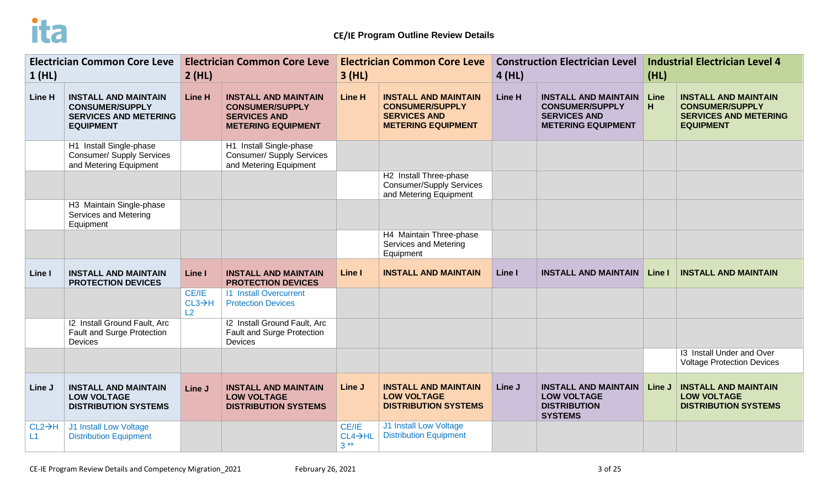

| 1(HL)                     | <b>Electrician Common Core Leve</b>                                                                       | 2(HL)                              | <b>Electrician Common Core Leve</b>                                                                       | 3(HL)                                  | <b>Electrician Common Core Leve</b>                                                                       | 4(HL)         | <b>Construction Electrician Level</b>                                                                     | <b>Industrial Electrician Level 4</b><br>(HL) |                                                                                                           |
|---------------------------|-----------------------------------------------------------------------------------------------------------|------------------------------------|-----------------------------------------------------------------------------------------------------------|----------------------------------------|-----------------------------------------------------------------------------------------------------------|---------------|-----------------------------------------------------------------------------------------------------------|-----------------------------------------------|-----------------------------------------------------------------------------------------------------------|
| Line H                    | <b>INSTALL AND MAINTAIN</b><br><b>CONSUMER/SUPPLY</b><br><b>SERVICES AND METERING</b><br><b>EQUIPMENT</b> | Line H                             | <b>INSTALL AND MAINTAIN</b><br><b>CONSUMER/SUPPLY</b><br><b>SERVICES AND</b><br><b>METERING EQUIPMENT</b> | <b>Line H</b>                          | <b>INSTALL AND MAINTAIN</b><br><b>CONSUMER/SUPPLY</b><br><b>SERVICES AND</b><br><b>METERING EQUIPMENT</b> | <b>Line H</b> | <b>INSTALL AND MAINTAIN</b><br><b>CONSUMER/SUPPLY</b><br><b>SERVICES AND</b><br><b>METERING EQUIPMENT</b> | Line<br>H.                                    | <b>INSTALL AND MAINTAIN</b><br><b>CONSUMER/SUPPLY</b><br><b>SERVICES AND METERING</b><br><b>EQUIPMENT</b> |
|                           | H1 Install Single-phase<br><b>Consumer/ Supply Services</b><br>and Metering Equipment                     |                                    | H1 Install Single-phase<br><b>Consumer/ Supply Services</b><br>and Metering Equipment                     |                                        |                                                                                                           |               |                                                                                                           |                                               |                                                                                                           |
|                           |                                                                                                           |                                    |                                                                                                           |                                        | H2 Install Three-phase<br><b>Consumer/Supply Services</b><br>and Metering Equipment                       |               |                                                                                                           |                                               |                                                                                                           |
|                           | H3 Maintain Single-phase<br>Services and Metering<br>Equipment                                            |                                    |                                                                                                           |                                        |                                                                                                           |               |                                                                                                           |                                               |                                                                                                           |
|                           |                                                                                                           |                                    |                                                                                                           |                                        | H4 Maintain Three-phase<br>Services and Metering<br>Equipment                                             |               |                                                                                                           |                                               |                                                                                                           |
| Line I                    | <b>INSTALL AND MAINTAIN</b><br><b>PROTECTION DEVICES</b>                                                  | Line I                             | <b>INSTALL AND MAINTAIN</b><br><b>PROTECTION DEVICES</b>                                                  | Line I                                 | <b>INSTALL AND MAINTAIN</b>                                                                               | Line I        | <b>INSTALL AND MAINTAIN</b>                                                                               | Line I                                        | <b>INSTALL AND MAINTAIN</b>                                                                               |
|                           |                                                                                                           | CE/IE<br>$CL3 \rightarrow H$<br>L2 | <b>11 Install Overcurrent</b><br><b>Protection Devices</b>                                                |                                        |                                                                                                           |               |                                                                                                           |                                               |                                                                                                           |
|                           | 12 Install Ground Fault, Arc<br>Fault and Surge Protection<br>Devices                                     |                                    | 12 Install Ground Fault, Arc<br>Fault and Surge Protection<br><b>Devices</b>                              |                                        |                                                                                                           |               |                                                                                                           |                                               |                                                                                                           |
|                           |                                                                                                           |                                    |                                                                                                           |                                        |                                                                                                           |               |                                                                                                           |                                               | 13 Install Under and Over<br><b>Voltage Protection Devices</b>                                            |
| Line J                    | <b>INSTALL AND MAINTAIN</b><br><b>LOW VOLTAGE</b><br><b>DISTRIBUTION SYSTEMS</b>                          | Line J                             | <b>INSTALL AND MAINTAIN</b><br><b>LOW VOLTAGE</b><br><b>DISTRIBUTION SYSTEMS</b>                          | Line J                                 | <b>INSTALL AND MAINTAIN</b><br><b>LOW VOLTAGE</b><br><b>DISTRIBUTION SYSTEMS</b>                          | Line J        | <b>INSTALL AND MAINTAIN</b><br><b>LOW VOLTAGE</b><br><b>DISTRIBUTION</b><br><b>SYSTEMS</b>                | Line J                                        | <b>INSTALL AND MAINTAIN</b><br><b>LOW VOLTAGE</b><br><b>DISTRIBUTION SYSTEMS</b>                          |
| $CL2 \rightarrow H$<br>L1 | J1 Install Low Voltage<br><b>Distribution Equipment</b>                                                   |                                    |                                                                                                           | CE/IE<br>$CL4 \rightarrow HL$<br>$3**$ | <b>J1 Install Low Voltage</b><br><b>Distribution Equipment</b>                                            |               |                                                                                                           |                                               |                                                                                                           |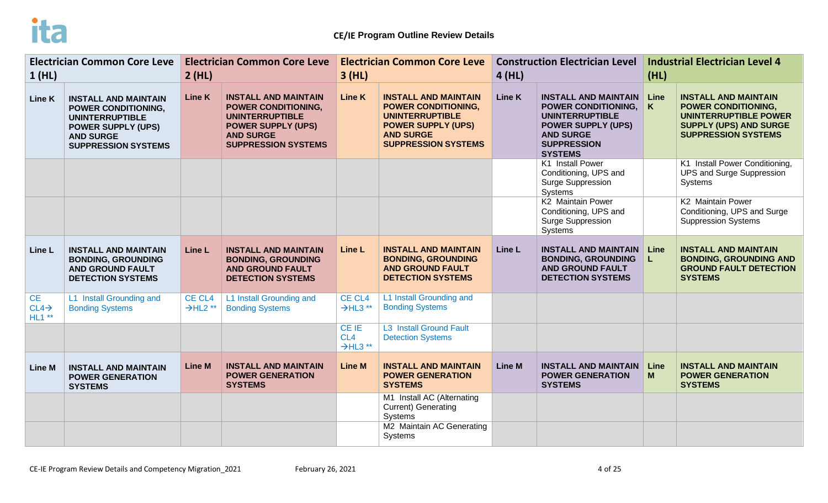

| 1(HL)                             | <b>Electrician Common Core Leve</b>                                                                                                                                | 2(HL)             | <b>Electrician Common Core Leve</b>                                                                                                                                | 3(HL)                                            | <b>Electrician Common Core Leve</b>                                                                                                                                | 4(HL)         | <b>Construction Electrician Level</b>                                                                                                                                        |           | <b>Industrial Electrician Level 4</b><br>(HL)                                                                                                            |  |
|-----------------------------------|--------------------------------------------------------------------------------------------------------------------------------------------------------------------|-------------------|--------------------------------------------------------------------------------------------------------------------------------------------------------------------|--------------------------------------------------|--------------------------------------------------------------------------------------------------------------------------------------------------------------------|---------------|------------------------------------------------------------------------------------------------------------------------------------------------------------------------------|-----------|----------------------------------------------------------------------------------------------------------------------------------------------------------|--|
| Line K                            | <b>INSTALL AND MAINTAIN</b><br><b>POWER CONDITIONING,</b><br><b>UNINTERRUPTIBLE</b><br><b>POWER SUPPLY (UPS)</b><br><b>AND SURGE</b><br><b>SUPPRESSION SYSTEMS</b> | <b>Line K</b>     | <b>INSTALL AND MAINTAIN</b><br><b>POWER CONDITIONING,</b><br><b>UNINTERRUPTIBLE</b><br><b>POWER SUPPLY (UPS)</b><br><b>AND SURGE</b><br><b>SUPPRESSION SYSTEMS</b> | <b>Line K</b>                                    | <b>INSTALL AND MAINTAIN</b><br><b>POWER CONDITIONING,</b><br><b>UNINTERRUPTIBLE</b><br><b>POWER SUPPLY (UPS)</b><br><b>AND SURGE</b><br><b>SUPPRESSION SYSTEMS</b> | <b>Line K</b> | <b>INSTALL AND MAINTAIN</b><br><b>POWER CONDITIONING,</b><br><b>UNINTERRUPTIBLE</b><br><b>POWER SUPPLY (UPS)</b><br><b>AND SURGE</b><br><b>SUPPRESSION</b><br><b>SYSTEMS</b> | Line<br>K | <b>INSTALL AND MAINTAIN</b><br><b>POWER CONDITIONING,</b><br><b>UNINTERRUPTIBLE POWER</b><br><b>SUPPLY (UPS) AND SURGE</b><br><b>SUPPRESSION SYSTEMS</b> |  |
|                                   |                                                                                                                                                                    |                   |                                                                                                                                                                    |                                                  |                                                                                                                                                                    |               | K1 Install Power<br>Conditioning, UPS and<br><b>Surge Suppression</b><br>Systems                                                                                             |           | K1 Install Power Conditioning,<br><b>UPS and Surge Suppression</b><br>Systems                                                                            |  |
|                                   |                                                                                                                                                                    |                   |                                                                                                                                                                    |                                                  |                                                                                                                                                                    |               | K2 Maintain Power<br>Conditioning, UPS and<br><b>Surge Suppression</b><br>Systems                                                                                            |           | K2 Maintain Power<br>Conditioning, UPS and Surge<br><b>Suppression Systems</b>                                                                           |  |
| Line L                            | <b>INSTALL AND MAINTAIN</b><br><b>BONDING, GROUNDING</b><br><b>AND GROUND FAULT</b><br><b>DETECTION SYSTEMS</b>                                                    | Line L            | <b>INSTALL AND MAINTAIN</b><br><b>BONDING, GROUNDING</b><br><b>AND GROUND FAULT</b><br><b>DETECTION SYSTEMS</b>                                                    | Line L                                           | <b>INSTALL AND MAINTAIN</b><br><b>BONDING, GROUNDING</b><br><b>AND GROUND FAULT</b><br><b>DETECTION SYSTEMS</b>                                                    | Line L        | <b>INSTALL AND MAINTAIN</b><br><b>BONDING, GROUNDING</b><br><b>AND GROUND FAULT</b><br><b>DETECTION SYSTEMS</b>                                                              | Line<br>L | <b>INSTALL AND MAINTAIN</b><br><b>BONDING, GROUNDING AND</b><br><b>GROUND FAULT DETECTION</b><br><b>SYSTEMS</b>                                          |  |
| CE<br>$CL4\rightarrow$<br>$HL1**$ | L1 Install Grounding and<br><b>Bonding Systems</b>                                                                                                                 | CE CL4<br>$HL2**$ | L1 Install Grounding and<br><b>Bonding Systems</b>                                                                                                                 | CE CL4<br>$\rightarrow$ HL3 <sup>**</sup>        | L1 Install Grounding and<br><b>Bonding Systems</b>                                                                                                                 |               |                                                                                                                                                                              |           |                                                                                                                                                          |  |
|                                   |                                                                                                                                                                    |                   |                                                                                                                                                                    | CE IE<br>CL <sub>4</sub><br>$\rightarrow$ HL3 ** | <b>L3 Install Ground Fault</b><br><b>Detection Systems</b>                                                                                                         |               |                                                                                                                                                                              |           |                                                                                                                                                          |  |
| <b>Line M</b>                     | <b>INSTALL AND MAINTAIN</b><br><b>POWER GENERATION</b><br><b>SYSTEMS</b>                                                                                           | <b>Line M</b>     | <b>INSTALL AND MAINTAIN</b><br><b>POWER GENERATION</b><br><b>SYSTEMS</b>                                                                                           | <b>Line M</b>                                    | <b>INSTALL AND MAINTAIN</b><br><b>POWER GENERATION</b><br><b>SYSTEMS</b>                                                                                           | <b>Line M</b> | <b>INSTALL AND MAINTAIN</b><br><b>POWER GENERATION</b><br><b>SYSTEMS</b>                                                                                                     | Line<br>M | <b>INSTALL AND MAINTAIN</b><br><b>POWER GENERATION</b><br><b>SYSTEMS</b>                                                                                 |  |
|                                   |                                                                                                                                                                    |                   |                                                                                                                                                                    |                                                  | M1 Install AC (Alternating<br><b>Current) Generating</b><br>Systems                                                                                                |               |                                                                                                                                                                              |           |                                                                                                                                                          |  |
|                                   |                                                                                                                                                                    |                   |                                                                                                                                                                    |                                                  | M2 Maintain AC Generating<br>Systems                                                                                                                               |               |                                                                                                                                                                              |           |                                                                                                                                                          |  |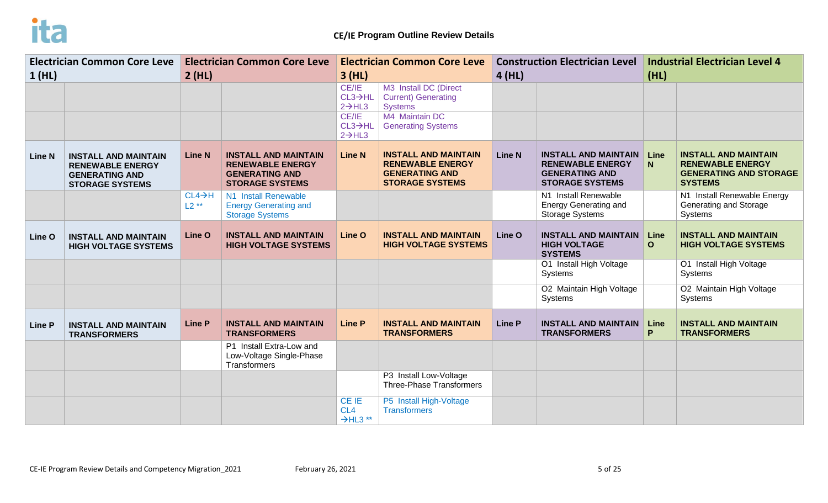

| <b>Electrician Common Core Leve</b> |                                                                                                           | <b>Electrician Common Core Leve</b> |                                                                                                           | <b>Electrician Common Core Leve</b>                     |                                                                                                           | <b>Construction Electrician Level</b> |                                                                                                           | <b>Industrial Electrician Level 4</b> |                                                                                                           |
|-------------------------------------|-----------------------------------------------------------------------------------------------------------|-------------------------------------|-----------------------------------------------------------------------------------------------------------|---------------------------------------------------------|-----------------------------------------------------------------------------------------------------------|---------------------------------------|-----------------------------------------------------------------------------------------------------------|---------------------------------------|-----------------------------------------------------------------------------------------------------------|
| 1(HL)                               |                                                                                                           | 2(HL)                               |                                                                                                           | 3(HL)                                                   |                                                                                                           | 4(HL)                                 |                                                                                                           | (HL)                                  |                                                                                                           |
|                                     |                                                                                                           |                                     |                                                                                                           | CE/IE<br>$CL3 \rightarrow HL$<br>$2 \rightarrow H L 3$  | M3 Install DC (Direct<br><b>Current) Generating</b><br><b>Systems</b>                                     |                                       |                                                                                                           |                                       |                                                                                                           |
|                                     |                                                                                                           |                                     |                                                                                                           | CE/IE<br>$CL3 \rightarrow HL$<br>$2 \rightarrow H L 3$  | M4 Maintain DC<br><b>Generating Systems</b>                                                               |                                       |                                                                                                           |                                       |                                                                                                           |
| <b>Line N</b>                       | <b>INSTALL AND MAINTAIN</b><br><b>RENEWABLE ENERGY</b><br><b>GENERATING AND</b><br><b>STORAGE SYSTEMS</b> | <b>Line N</b>                       | <b>INSTALL AND MAINTAIN</b><br><b>RENEWABLE ENERGY</b><br><b>GENERATING AND</b><br><b>STORAGE SYSTEMS</b> | <b>Line N</b>                                           | <b>INSTALL AND MAINTAIN</b><br><b>RENEWABLE ENERGY</b><br><b>GENERATING AND</b><br><b>STORAGE SYSTEMS</b> | <b>Line N</b>                         | <b>INSTALL AND MAINTAIN</b><br><b>RENEWABLE ENERGY</b><br><b>GENERATING AND</b><br><b>STORAGE SYSTEMS</b> | Line<br>N.                            | <b>INSTALL AND MAINTAIN</b><br><b>RENEWABLE ENERGY</b><br><b>GENERATING AND STORAGE</b><br><b>SYSTEMS</b> |
|                                     |                                                                                                           | $CL4 \rightarrow H$<br>$L2$ **      | N1 Install Renewable<br><b>Energy Generating and</b><br><b>Storage Systems</b>                            |                                                         |                                                                                                           |                                       | N1 Install Renewable<br><b>Energy Generating and</b><br><b>Storage Systems</b>                            |                                       | N1 Install Renewable Energy<br><b>Generating and Storage</b><br>Systems                                   |
| Line O                              | <b>INSTALL AND MAINTAIN</b><br><b>HIGH VOLTAGE SYSTEMS</b>                                                | Line O                              | <b>INSTALL AND MAINTAIN</b><br><b>HIGH VOLTAGE SYSTEMS</b>                                                | Line O                                                  | <b>INSTALL AND MAINTAIN</b><br><b>HIGH VOLTAGE SYSTEMS</b>                                                | Line O                                | <b>INSTALL AND MAINTAIN</b><br><b>HIGH VOLTAGE</b><br><b>SYSTEMS</b>                                      | Line<br>$\mathbf{O}$                  | <b>INSTALL AND MAINTAIN</b><br><b>HIGH VOLTAGE SYSTEMS</b>                                                |
|                                     |                                                                                                           |                                     |                                                                                                           |                                                         |                                                                                                           |                                       | O1 Install High Voltage<br>Systems                                                                        |                                       | O1 Install High Voltage<br>Systems                                                                        |
|                                     |                                                                                                           |                                     |                                                                                                           |                                                         |                                                                                                           |                                       | O2 Maintain High Voltage<br>Systems                                                                       |                                       | O2 Maintain High Voltage<br>Systems                                                                       |
| <b>Line P</b>                       | <b>INSTALL AND MAINTAIN</b><br><b>TRANSFORMERS</b>                                                        | <b>Line P</b>                       | <b>INSTALL AND MAINTAIN</b><br><b>TRANSFORMERS</b>                                                        | <b>Line P</b>                                           | <b>INSTALL AND MAINTAIN</b><br><b>TRANSFORMERS</b>                                                        | <b>Line P</b>                         | <b>INSTALL AND MAINTAIN</b><br><b>TRANSFORMERS</b>                                                        | Line<br>P                             | <b>INSTALL AND MAINTAIN</b><br><b>TRANSFORMERS</b>                                                        |
|                                     |                                                                                                           |                                     | P1 Install Extra-Low and<br>Low-Voltage Single-Phase<br><b>Transformers</b>                               |                                                         |                                                                                                           |                                       |                                                                                                           |                                       |                                                                                                           |
|                                     |                                                                                                           |                                     |                                                                                                           |                                                         | P3 Install Low-Voltage<br><b>Three-Phase Transformers</b>                                                 |                                       |                                                                                                           |                                       |                                                                                                           |
|                                     |                                                                                                           |                                     |                                                                                                           | <b>CE IE</b><br>CL <sub>4</sub><br>$\rightarrow$ HL3 ** | P5 Install High-Voltage<br><b>Transformers</b>                                                            |                                       |                                                                                                           |                                       |                                                                                                           |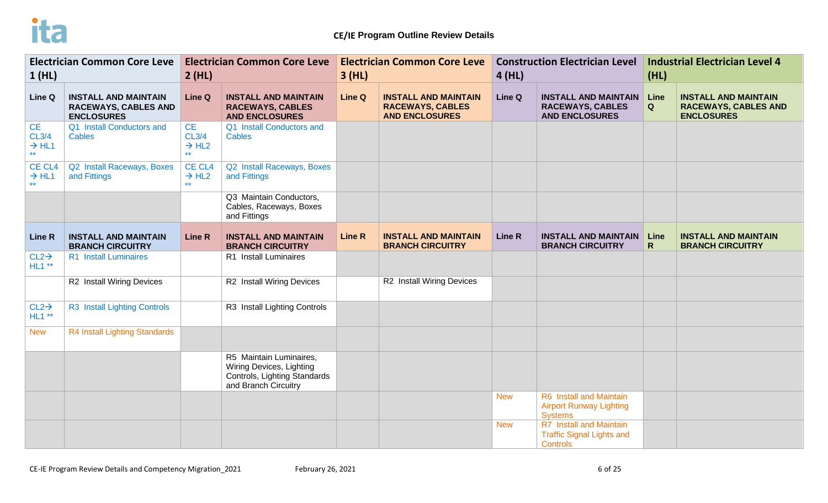

| <b>Electrician Common Core Leve</b><br>1(HL) |                                                                                 | <b>Electrician Common Core Leve</b><br>2(HL)     |                                                                                                             | <b>Electrician Common Core Leve</b><br>3(HL) |                                                                                 | <b>Construction Electrician Level</b><br>4(HL) |                                                                                 | <b>Industrial Electrician Level 4</b><br>(HL) |                                                                                 |
|----------------------------------------------|---------------------------------------------------------------------------------|--------------------------------------------------|-------------------------------------------------------------------------------------------------------------|----------------------------------------------|---------------------------------------------------------------------------------|------------------------------------------------|---------------------------------------------------------------------------------|-----------------------------------------------|---------------------------------------------------------------------------------|
|                                              |                                                                                 |                                                  |                                                                                                             |                                              |                                                                                 |                                                |                                                                                 |                                               |                                                                                 |
| Line Q                                       | <b>INSTALL AND MAINTAIN</b><br><b>RACEWAYS, CABLES AND</b><br><b>ENCLOSURES</b> | Line Q                                           | <b>INSTALL AND MAINTAIN</b><br><b>RACEWAYS, CABLES</b><br><b>AND ENCLOSURES</b>                             | Line Q                                       | <b>INSTALL AND MAINTAIN</b><br><b>RACEWAYS, CABLES</b><br><b>AND ENCLOSURES</b> | Line Q                                         | <b>INSTALL AND MAINTAIN</b><br><b>RACEWAYS, CABLES</b><br><b>AND ENCLOSURES</b> | Line<br>Q                                     | <b>INSTALL AND MAINTAIN</b><br><b>RACEWAYS, CABLES AND</b><br><b>ENCLOSURES</b> |
| CE<br>CL3/4<br>$\rightarrow$ HL1<br>$**$     | Q1 Install Conductors and<br><b>Cables</b>                                      | <b>CE</b><br>CL3/4<br>$\rightarrow$ HL2<br>$***$ | Q1 Install Conductors and<br><b>Cables</b>                                                                  |                                              |                                                                                 |                                                |                                                                                 |                                               |                                                                                 |
| CE CL4<br>$\rightarrow$ HL1                  | Q2 Install Raceways, Boxes<br>and Fittings                                      | CE CL4<br>$\rightarrow$ HL2<br>$***$             | Q2 Install Raceways, Boxes<br>and Fittings                                                                  |                                              |                                                                                 |                                                |                                                                                 |                                               |                                                                                 |
|                                              |                                                                                 |                                                  | Q3 Maintain Conductors,<br>Cables, Raceways, Boxes<br>and Fittings                                          |                                              |                                                                                 |                                                |                                                                                 |                                               |                                                                                 |
| <b>Line R</b>                                | <b>INSTALL AND MAINTAIN</b><br><b>BRANCH CIRCUITRY</b>                          | Line R                                           | <b>INSTALL AND MAINTAIN</b><br><b>BRANCH CIRCUITRY</b>                                                      | <b>Line R</b>                                | <b>INSTALL AND MAINTAIN</b><br><b>BRANCH CIRCUITRY</b>                          | Line R                                         | <b>INSTALL AND MAINTAIN</b><br><b>BRANCH CIRCUITRY</b>                          | Line<br>R.                                    | <b>INSTALL AND MAINTAIN</b><br><b>BRANCH CIRCUITRY</b>                          |
| $CL2 \rightarrow$<br><b>HL1**</b>            | R1 Install Luminaires                                                           |                                                  | R1 Install Luminaires                                                                                       |                                              |                                                                                 |                                                |                                                                                 |                                               |                                                                                 |
|                                              | R2 Install Wiring Devices                                                       |                                                  | R2 Install Wiring Devices                                                                                   |                                              | R2 Install Wiring Devices                                                       |                                                |                                                                                 |                                               |                                                                                 |
| $CL2 \rightarrow$<br>$HL1**$                 | R3 Install Lighting Controls                                                    |                                                  | R3 Install Lighting Controls                                                                                |                                              |                                                                                 |                                                |                                                                                 |                                               |                                                                                 |
| <b>New</b>                                   | R4 Install Lighting Standards                                                   |                                                  |                                                                                                             |                                              |                                                                                 |                                                |                                                                                 |                                               |                                                                                 |
|                                              |                                                                                 |                                                  | R5 Maintain Luminaires,<br>Wiring Devices, Lighting<br>Controls, Lighting Standards<br>and Branch Circuitry |                                              |                                                                                 |                                                |                                                                                 |                                               |                                                                                 |
|                                              |                                                                                 |                                                  |                                                                                                             |                                              |                                                                                 | <b>New</b>                                     | R6 Install and Maintain<br><b>Airport Runway Lighting</b><br><b>Systems</b>     |                                               |                                                                                 |
|                                              |                                                                                 |                                                  |                                                                                                             |                                              |                                                                                 | <b>New</b>                                     | R7 Install and Maintain<br><b>Traffic Signal Lights and</b><br>Controls         |                                               |                                                                                 |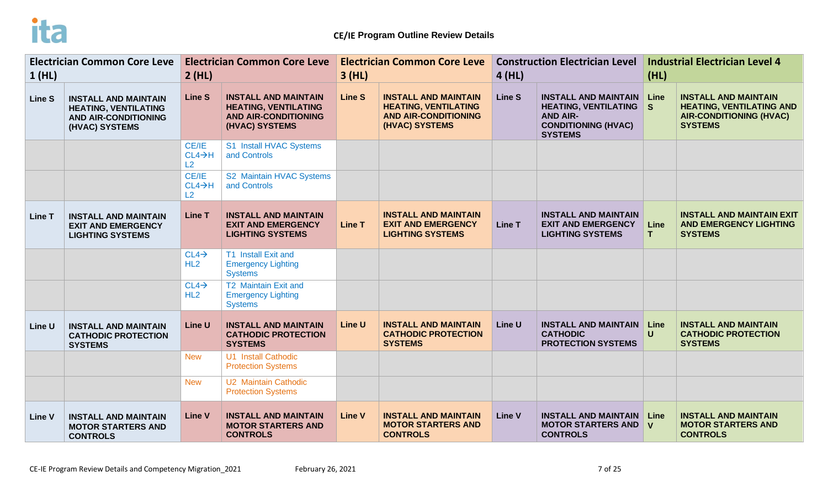

| <b>Electrician Common Core Leve</b><br>1(HL) |                                                                                                             | <b>Electrician Common Core Leve</b> |                                                                                                             | <b>Electrician Common Core Leve</b> |                                                                                                             | <b>Construction Electrician Level</b> |                                                                                                                               | <b>Industrial Electrician Level 4</b> |                                                                                                                    |
|----------------------------------------------|-------------------------------------------------------------------------------------------------------------|-------------------------------------|-------------------------------------------------------------------------------------------------------------|-------------------------------------|-------------------------------------------------------------------------------------------------------------|---------------------------------------|-------------------------------------------------------------------------------------------------------------------------------|---------------------------------------|--------------------------------------------------------------------------------------------------------------------|
|                                              |                                                                                                             | 2(HL)                               |                                                                                                             | 3(HL)                               |                                                                                                             | 4(HL)                                 |                                                                                                                               | (HL)                                  |                                                                                                                    |
| <b>Line S</b>                                | <b>INSTALL AND MAINTAIN</b><br><b>HEATING, VENTILATING</b><br><b>AND AIR-CONDITIONING</b><br>(HVAC) SYSTEMS | <b>Line S</b>                       | <b>INSTALL AND MAINTAIN</b><br><b>HEATING, VENTILATING</b><br><b>AND AIR-CONDITIONING</b><br>(HVAC) SYSTEMS | <b>Line S</b>                       | <b>INSTALL AND MAINTAIN</b><br><b>HEATING, VENTILATING</b><br><b>AND AIR-CONDITIONING</b><br>(HVAC) SYSTEMS | <b>Line S</b>                         | <b>INSTALL AND MAINTAIN</b><br><b>HEATING, VENTILATING</b><br><b>AND AIR-</b><br><b>CONDITIONING (HVAC)</b><br><b>SYSTEMS</b> | Line<br>$\mathsf{S}$                  | <b>INSTALL AND MAINTAIN</b><br><b>HEATING, VENTILATING AND</b><br><b>AIR-CONDITIONING (HVAC)</b><br><b>SYSTEMS</b> |
|                                              |                                                                                                             | CE/IE<br>$CL4 \rightarrow H$<br>L2  | S1 Install HVAC Systems<br>and Controls                                                                     |                                     |                                                                                                             |                                       |                                                                                                                               |                                       |                                                                                                                    |
|                                              |                                                                                                             | CE/IE<br>$CL4 \rightarrow H$<br>L2  | S2 Maintain HVAC Systems<br>and Controls                                                                    |                                     |                                                                                                             |                                       |                                                                                                                               |                                       |                                                                                                                    |
| Line T                                       | <b>INSTALL AND MAINTAIN</b><br><b>EXIT AND EMERGENCY</b><br><b>LIGHTING SYSTEMS</b>                         | <b>Line T</b>                       | <b>INSTALL AND MAINTAIN</b><br><b>EXIT AND EMERGENCY</b><br><b>LIGHTING SYSTEMS</b>                         | <b>Line T</b>                       | <b>INSTALL AND MAINTAIN</b><br><b>EXIT AND EMERGENCY</b><br><b>LIGHTING SYSTEMS</b>                         | <b>Line T</b>                         | <b>INSTALL AND MAINTAIN</b><br><b>EXIT AND EMERGENCY</b><br><b>LIGHTING SYSTEMS</b>                                           | Line<br>T                             | <b>INSTALL AND MAINTAIN EXIT</b><br><b>AND EMERGENCY LIGHTING</b><br><b>SYSTEMS</b>                                |
|                                              |                                                                                                             | $CL4\rightarrow$<br>HL2             | T1 Install Exit and<br><b>Emergency Lighting</b><br><b>Systems</b>                                          |                                     |                                                                                                             |                                       |                                                                                                                               |                                       |                                                                                                                    |
|                                              |                                                                                                             | $CL4\rightarrow$<br>HL2             | <b>T2 Maintain Exit and</b><br><b>Emergency Lighting</b><br><b>Systems</b>                                  |                                     |                                                                                                             |                                       |                                                                                                                               |                                       |                                                                                                                    |
| Line U                                       | <b>INSTALL AND MAINTAIN</b><br><b>CATHODIC PROTECTION</b><br><b>SYSTEMS</b>                                 | Line U                              | <b>INSTALL AND MAINTAIN</b><br><b>CATHODIC PROTECTION</b><br><b>SYSTEMS</b>                                 | Line U                              | <b>INSTALL AND MAINTAIN</b><br><b>CATHODIC PROTECTION</b><br><b>SYSTEMS</b>                                 | Line U                                | <b>INSTALL AND MAINTAIN</b><br><b>CATHODIC</b><br><b>PROTECTION SYSTEMS</b>                                                   | <b>Line</b><br>$\cup$                 | <b>INSTALL AND MAINTAIN</b><br><b>CATHODIC PROTECTION</b><br><b>SYSTEMS</b>                                        |
|                                              |                                                                                                             | <b>New</b>                          | U1 Install Cathodic<br><b>Protection Systems</b>                                                            |                                     |                                                                                                             |                                       |                                                                                                                               |                                       |                                                                                                                    |
|                                              |                                                                                                             | <b>New</b>                          | U2 Maintain Cathodic<br><b>Protection Systems</b>                                                           |                                     |                                                                                                             |                                       |                                                                                                                               |                                       |                                                                                                                    |
| <b>Line V</b>                                | <b>INSTALL AND MAINTAIN</b><br><b>MOTOR STARTERS AND</b><br><b>CONTROLS</b>                                 | <b>Line V</b>                       | <b>INSTALL AND MAINTAIN</b><br><b>MOTOR STARTERS AND</b><br><b>CONTROLS</b>                                 | <b>Line V</b>                       | <b>INSTALL AND MAINTAIN</b><br><b>MOTOR STARTERS AND</b><br><b>CONTROLS</b>                                 | <b>Line V</b>                         | <b>INSTALL AND MAINTAIN</b><br><b>MOTOR STARTERS AND</b><br><b>CONTROLS</b>                                                   | Line<br>$\mathbf{V}$                  | <b>INSTALL AND MAINTAIN</b><br><b>MOTOR STARTERS AND</b><br><b>CONTROLS</b>                                        |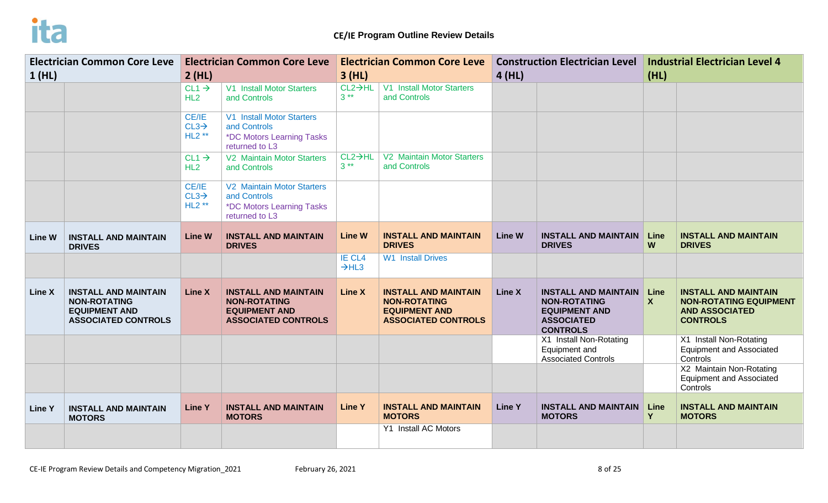| <b>Electrician Common Core Leve</b> |                                                                                                          | <b>Electrician Common Core Leve</b>   |                                                                                                          | <b>Electrician Common Core Leve</b> |                                                                                                          | <b>Construction Electrician Level</b> |                                                                                                                    | <b>Industrial Electrician Level 4</b> |                                                                                                          |
|-------------------------------------|----------------------------------------------------------------------------------------------------------|---------------------------------------|----------------------------------------------------------------------------------------------------------|-------------------------------------|----------------------------------------------------------------------------------------------------------|---------------------------------------|--------------------------------------------------------------------------------------------------------------------|---------------------------------------|----------------------------------------------------------------------------------------------------------|
| 1(HL)                               |                                                                                                          | 2(HL)                                 |                                                                                                          | 3(HL)                               |                                                                                                          | 4(HL)                                 |                                                                                                                    | (HL)                                  |                                                                                                          |
|                                     |                                                                                                          | $CL1 \rightarrow$<br>HL2              | <b>V1 Install Motor Starters</b><br>and Controls                                                         | $CL2 \rightarrow HL$<br>$3**$       | <b>V1 Install Motor Starters</b><br>and Controls                                                         |                                       |                                                                                                                    |                                       |                                                                                                          |
|                                     |                                                                                                          | CE/IE<br>$CL3\rightarrow$<br>$HL2$ ** | <b>V1 Install Motor Starters</b><br>and Controls<br>*DC Motors Learning Tasks<br>returned to L3          |                                     |                                                                                                          |                                       |                                                                                                                    |                                       |                                                                                                          |
|                                     |                                                                                                          | $CL1 \rightarrow$<br>HL2              | V2 Maintain Motor Starters<br>and Controls                                                               | $CL2 \rightarrow HL$<br>$3**$       | <b>V2 Maintain Motor Starters</b><br>and Controls                                                        |                                       |                                                                                                                    |                                       |                                                                                                          |
|                                     |                                                                                                          | CE/IE<br>$CL3\rightarrow$<br>$HL2$ ** | V2 Maintain Motor Starters<br>and Controls<br>*DC Motors Learning Tasks<br>returned to L3                |                                     |                                                                                                          |                                       |                                                                                                                    |                                       |                                                                                                          |
| <b>Line W</b>                       | <b>INSTALL AND MAINTAIN</b><br><b>DRIVES</b>                                                             | <b>Line W</b>                         | <b>INSTALL AND MAINTAIN</b><br><b>DRIVES</b>                                                             | <b>Line W</b>                       | <b>INSTALL AND MAINTAIN</b><br><b>DRIVES</b>                                                             | <b>Line W</b>                         | <b>INSTALL AND MAINTAIN</b><br><b>DRIVES</b>                                                                       | Line<br>W                             | <b>INSTALL AND MAINTAIN</b><br><b>DRIVES</b>                                                             |
|                                     |                                                                                                          |                                       |                                                                                                          | IE CL4<br>H <sub>13</sub>           | <b>W1</b> Install Drives                                                                                 |                                       |                                                                                                                    |                                       |                                                                                                          |
| Line X                              | <b>INSTALL AND MAINTAIN</b><br><b>NON-ROTATING</b><br><b>EQUIPMENT AND</b><br><b>ASSOCIATED CONTROLS</b> | <b>Line X</b>                         | <b>INSTALL AND MAINTAIN</b><br><b>NON-ROTATING</b><br><b>EQUIPMENT AND</b><br><b>ASSOCIATED CONTROLS</b> | <b>Line X</b>                       | <b>INSTALL AND MAINTAIN</b><br><b>NON-ROTATING</b><br><b>EQUIPMENT AND</b><br><b>ASSOCIATED CONTROLS</b> | <b>Line X</b>                         | <b>INSTALL AND MAINTAIN</b><br><b>NON-ROTATING</b><br><b>EQUIPMENT AND</b><br><b>ASSOCIATED</b><br><b>CONTROLS</b> | Line<br>X                             | <b>INSTALL AND MAINTAIN</b><br><b>NON-ROTATING EQUIPMENT</b><br><b>AND ASSOCIATED</b><br><b>CONTROLS</b> |
|                                     |                                                                                                          |                                       |                                                                                                          |                                     |                                                                                                          |                                       | X1 Install Non-Rotating<br>Equipment and<br><b>Associated Controls</b>                                             |                                       | X1 Install Non-Rotating<br><b>Equipment and Associated</b><br>Controls                                   |
|                                     |                                                                                                          |                                       |                                                                                                          |                                     |                                                                                                          |                                       |                                                                                                                    |                                       | X2 Maintain Non-Rotating<br><b>Equipment and Associated</b><br>Controls                                  |
| <b>Line Y</b>                       | <b>INSTALL AND MAINTAIN</b><br><b>MOTORS</b>                                                             | <b>Line Y</b>                         | <b>INSTALL AND MAINTAIN</b><br><b>MOTORS</b>                                                             | <b>Line Y</b>                       | <b>INSTALL AND MAINTAIN</b><br><b>MOTORS</b>                                                             | <b>Line Y</b>                         | <b>INSTALL AND MAINTAIN</b><br><b>MOTORS</b>                                                                       | Line<br>Y                             | <b>INSTALL AND MAINTAIN</b><br><b>MOTORS</b>                                                             |
|                                     |                                                                                                          |                                       |                                                                                                          |                                     | Y1 Install AC Motors                                                                                     |                                       |                                                                                                                    |                                       |                                                                                                          |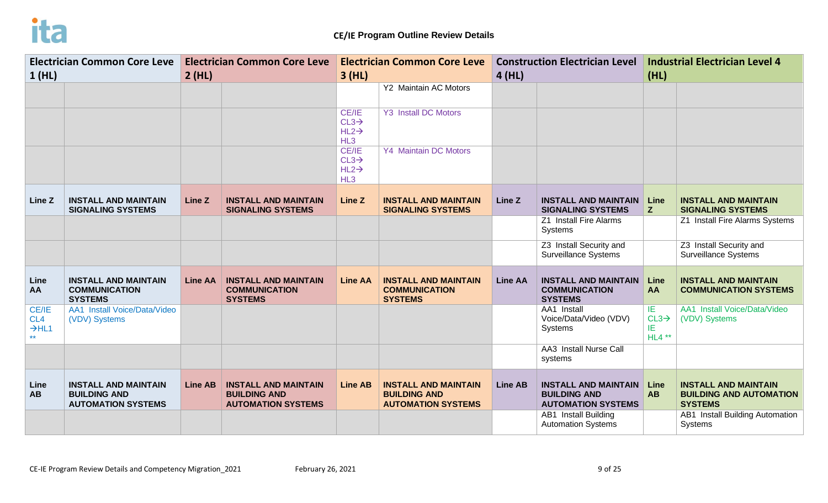

| <b>Electrician Common Core Leve</b>                    |                                                                                 | <b>Electrician Common Core Leve</b> |                                                                                 | <b>Electrician Common Core Leve</b>                   |                                                                                 | <b>Construction Electrician Level</b> |                                                                                 | <b>Industrial Electrician Level 4</b>      |                                                                                 |
|--------------------------------------------------------|---------------------------------------------------------------------------------|-------------------------------------|---------------------------------------------------------------------------------|-------------------------------------------------------|---------------------------------------------------------------------------------|---------------------------------------|---------------------------------------------------------------------------------|--------------------------------------------|---------------------------------------------------------------------------------|
| 1(HL)                                                  |                                                                                 | 2(HL)                               |                                                                                 | 3(HL)                                                 |                                                                                 | 4(HL)                                 |                                                                                 | (HL)                                       |                                                                                 |
|                                                        |                                                                                 |                                     |                                                                                 |                                                       | Y2 Maintain AC Motors                                                           |                                       |                                                                                 |                                            |                                                                                 |
|                                                        |                                                                                 |                                     |                                                                                 | CE/IE<br>$CL3\rightarrow$<br>$HL2 \rightarrow$<br>HL3 | <b>Y3 Install DC Motors</b>                                                     |                                       |                                                                                 |                                            |                                                                                 |
|                                                        |                                                                                 |                                     |                                                                                 | CE/IE<br>$CL3\rightarrow$<br>$HL2 \rightarrow$<br>HL3 | <b>Y4 Maintain DC Motors</b>                                                    |                                       |                                                                                 |                                            |                                                                                 |
| Line Z                                                 | <b>INSTALL AND MAINTAIN</b><br><b>SIGNALING SYSTEMS</b>                         | Line Z                              | <b>INSTALL AND MAINTAIN</b><br><b>SIGNALING SYSTEMS</b>                         | <b>Line Z</b>                                         | <b>INSTALL AND MAINTAIN</b><br><b>SIGNALING SYSTEMS</b>                         | Line Z                                | <b>INSTALL AND MAINTAIN</b><br><b>SIGNALING SYSTEMS</b>                         | Line<br>$\mathsf{Z}$                       | <b>INSTALL AND MAINTAIN</b><br><b>SIGNALING SYSTEMS</b>                         |
|                                                        |                                                                                 |                                     |                                                                                 |                                                       |                                                                                 |                                       | Z1 Install Fire Alarms<br>Systems                                               |                                            | Z1 Install Fire Alarms Systems                                                  |
|                                                        |                                                                                 |                                     |                                                                                 |                                                       |                                                                                 |                                       | Z3 Install Security and<br><b>Surveillance Systems</b>                          |                                            | Z3 Install Security and<br><b>Surveillance Systems</b>                          |
| Line<br>AA                                             | <b>INSTALL AND MAINTAIN</b><br><b>COMMUNICATION</b><br><b>SYSTEMS</b>           | <b>Line AA</b>                      | <b>INSTALL AND MAINTAIN</b><br><b>COMMUNICATION</b><br><b>SYSTEMS</b>           | <b>Line AA</b>                                        | <b>INSTALL AND MAINTAIN</b><br><b>COMMUNICATION</b><br><b>SYSTEMS</b>           | <b>Line AA</b>                        | <b>INSTALL AND MAINTAIN</b><br><b>COMMUNICATION</b><br><b>SYSTEMS</b>           | <b>Line</b><br>AA                          | <b>INSTALL AND MAINTAIN</b><br><b>COMMUNICATION SYSTEMS</b>                     |
| CE/IE<br>CL <sub>4</sub><br>$\rightarrow$ HL1<br>$***$ | AA1 Install Voice/Data/Video<br>(VDV) Systems                                   |                                     |                                                                                 |                                                       |                                                                                 |                                       | AA1 Install<br>Voice/Data/Video (VDV)<br>Systems                                | IE.<br>$CL3\rightarrow$<br>IE.<br>$HL4$ ** | AA1 Install Voice/Data/Video<br>(VDV) Systems                                   |
|                                                        |                                                                                 |                                     |                                                                                 |                                                       |                                                                                 |                                       | AA3 Install Nurse Call<br>systems                                               |                                            |                                                                                 |
| Line<br><b>AB</b>                                      | <b>INSTALL AND MAINTAIN</b><br><b>BUILDING AND</b><br><b>AUTOMATION SYSTEMS</b> | <b>Line AB</b>                      | <b>INSTALL AND MAINTAIN</b><br><b>BUILDING AND</b><br><b>AUTOMATION SYSTEMS</b> | <b>Line AB</b>                                        | <b>INSTALL AND MAINTAIN</b><br><b>BUILDING AND</b><br><b>AUTOMATION SYSTEMS</b> | <b>Line AB</b>                        | <b>INSTALL AND MAINTAIN</b><br><b>BUILDING AND</b><br><b>AUTOMATION SYSTEMS</b> | Line<br><b>AB</b>                          | <b>INSTALL AND MAINTAIN</b><br><b>BUILDING AND AUTOMATION</b><br><b>SYSTEMS</b> |
|                                                        |                                                                                 |                                     |                                                                                 |                                                       |                                                                                 |                                       | AB1 Install Building<br><b>Automation Systems</b>                               |                                            | <b>AB1</b> Install Building Automation<br>Systems                               |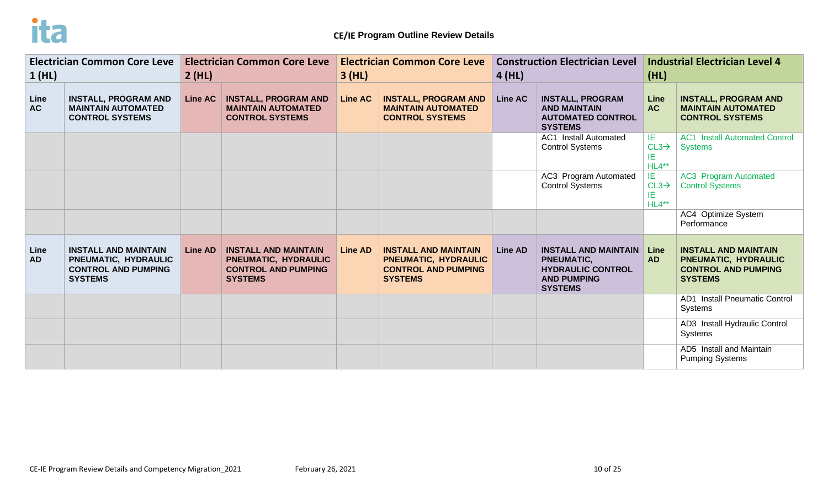

| 1(HL)             | <b>Electrician Common Core Leve</b>                                                                 | 2(HL)   | <b>Electrician Common Core Leve</b>                                                                 | 3(HL)          | <b>Electrician Common Core Leve</b>                                                                 | 4(HL)   | <b>Construction Electrician Level</b>                                                                                | (HL)                                      | <b>Industrial Electrician Level 4</b>                                                               |
|-------------------|-----------------------------------------------------------------------------------------------------|---------|-----------------------------------------------------------------------------------------------------|----------------|-----------------------------------------------------------------------------------------------------|---------|----------------------------------------------------------------------------------------------------------------------|-------------------------------------------|-----------------------------------------------------------------------------------------------------|
| Line<br><b>AC</b> | <b>INSTALL, PROGRAM AND</b><br><b>MAINTAIN AUTOMATED</b><br><b>CONTROL SYSTEMS</b>                  | Line AC | <b>INSTALL, PROGRAM AND</b><br><b>MAINTAIN AUTOMATED</b><br><b>CONTROL SYSTEMS</b>                  | <b>Line AC</b> | <b>INSTALL, PROGRAM AND</b><br><b>MAINTAIN AUTOMATED</b><br><b>CONTROL SYSTEMS</b>                  | Line AC | <b>INSTALL, PROGRAM</b><br><b>AND MAINTAIN</b><br><b>AUTOMATED CONTROL</b><br><b>SYSTEMS</b>                         | Line<br><b>AC</b>                         | <b>INSTALL, PROGRAM AND</b><br><b>MAINTAIN AUTOMATED</b><br><b>CONTROL SYSTEMS</b>                  |
|                   |                                                                                                     |         |                                                                                                     |                |                                                                                                     |         | <b>AC1</b> Install Automated<br><b>Control Systems</b>                                                               | IE.<br>$CL3\rightarrow$<br>IE.<br>$HL4**$ | <b>AC1</b> Install Automated Control<br><b>Systems</b>                                              |
|                   |                                                                                                     |         |                                                                                                     |                |                                                                                                     |         | AC3 Program Automated<br><b>Control Systems</b>                                                                      | IE.<br>$CL3\rightarrow$<br>IE.<br>$HL4**$ | <b>AC3 Program Automated</b><br><b>Control Systems</b>                                              |
|                   |                                                                                                     |         |                                                                                                     |                |                                                                                                     |         |                                                                                                                      |                                           | AC4 Optimize System<br>Performance                                                                  |
| Line<br><b>AD</b> | <b>INSTALL AND MAINTAIN</b><br>PNEUMATIC, HYDRAULIC<br><b>CONTROL AND PUMPING</b><br><b>SYSTEMS</b> | Line AD | <b>INSTALL AND MAINTAIN</b><br>PNEUMATIC, HYDRAULIC<br><b>CONTROL AND PUMPING</b><br><b>SYSTEMS</b> | <b>Line AD</b> | <b>INSTALL AND MAINTAIN</b><br>PNEUMATIC, HYDRAULIC<br><b>CONTROL AND PUMPING</b><br><b>SYSTEMS</b> | Line AD | <b>INSTALL AND MAINTAIN</b><br><b>PNEUMATIC,</b><br><b>HYDRAULIC CONTROL</b><br><b>AND PUMPING</b><br><b>SYSTEMS</b> | Line<br><b>AD</b>                         | <b>INSTALL AND MAINTAIN</b><br>PNEUMATIC, HYDRAULIC<br><b>CONTROL AND PUMPING</b><br><b>SYSTEMS</b> |
|                   |                                                                                                     |         |                                                                                                     |                |                                                                                                     |         |                                                                                                                      |                                           | <b>AD1</b> Install Pneumatic Control<br>Systems                                                     |
|                   |                                                                                                     |         |                                                                                                     |                |                                                                                                     |         |                                                                                                                      |                                           | AD3 Install Hydraulic Control<br>Systems                                                            |
|                   |                                                                                                     |         |                                                                                                     |                |                                                                                                     |         |                                                                                                                      |                                           | AD5 Install and Maintain<br><b>Pumping Systems</b>                                                  |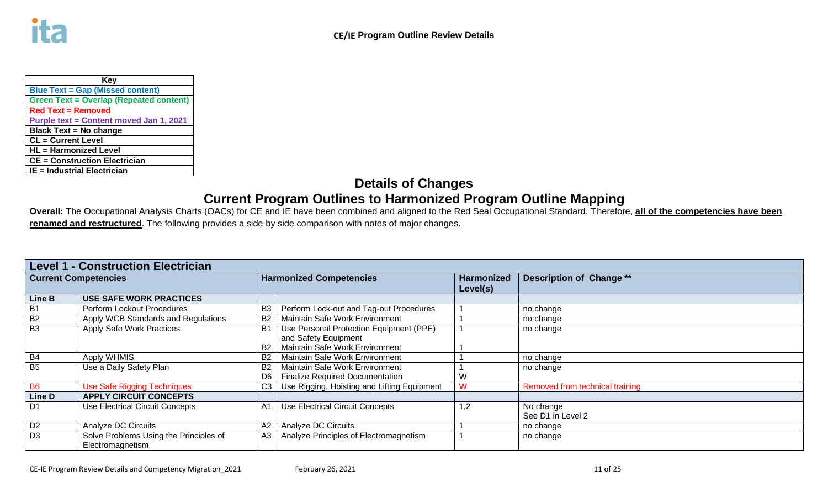| Key                                            |
|------------------------------------------------|
| <b>Blue Text = Gap (Missed content)</b>        |
| <b>Green Text = Overlap (Repeated content)</b> |
| <b>Red Text = Removed</b>                      |
| Purple text = Content moved Jan 1, 2021        |
| <b>Black Text = No change</b>                  |
| <b>CL</b> = Current Level                      |
| <b>HL</b> = Harmonized Level                   |
| <b>CE = Construction Electrician</b>           |
| <b>IE = Industrial Electrician</b>             |

## **Details of Changes Current Program Outlines to Harmonized Program Outline Mapping**

**Overall:** The Occupational Analysis Charts (OACs) for CE and IE have been combined and aligned to the Red Seal Occupational Standard. Therefore, all of the competencies have been **renamed and restructured**. The following provides a side by side comparison with notes of major changes.

| <b>Level 1 - Construction Electrician</b> |                                        |                |                                             |                   |                                 |  |  |  |
|-------------------------------------------|----------------------------------------|----------------|---------------------------------------------|-------------------|---------------------------------|--|--|--|
| <b>Current Competencies</b>               |                                        |                | <b>Harmonized Competencies</b>              | <b>Harmonized</b> | <b>Description of Change **</b> |  |  |  |
|                                           |                                        |                |                                             | Level(s)          |                                 |  |  |  |
| Line B                                    | <b>USE SAFE WORK PRACTICES</b>         |                |                                             |                   |                                 |  |  |  |
| B <sub>1</sub>                            | Perform Lockout Procedures             | <b>B</b> 3     | Perform Lock-out and Tag-out Procedures     |                   | no change                       |  |  |  |
| B <sub>2</sub>                            | Apply WCB Standards and Regulations    | B2             | Maintain Safe Work Environment              |                   | no change                       |  |  |  |
| B3                                        | Apply Safe Work Practices              | B <sub>1</sub> | Use Personal Protection Equipment (PPE)     |                   | no change                       |  |  |  |
|                                           |                                        |                | and Safety Equipment                        |                   |                                 |  |  |  |
|                                           |                                        | B <sub>2</sub> | Maintain Safe Work Environment              |                   |                                 |  |  |  |
| <b>B4</b>                                 | Apply WHMIS                            | B2             | Maintain Safe Work Environment              |                   | no change                       |  |  |  |
| <b>B5</b>                                 | Use a Daily Safety Plan                | <b>B2</b>      | Maintain Safe Work Environment              |                   | no change                       |  |  |  |
|                                           |                                        | D <sub>6</sub> | <b>Finalize Required Documentation</b>      |                   |                                 |  |  |  |
| <b>B6</b>                                 | <b>Use Safe Rigging Techniques</b>     | C3             | Use Rigging, Hoisting and Lifting Equipment |                   | Removed from technical training |  |  |  |
| <b>Line D</b>                             | <b>APPLY CIRCUIT CONCEPTS</b>          |                |                                             |                   |                                 |  |  |  |
| D <sub>1</sub>                            | Use Electrical Circuit Concepts        | A <sub>1</sub> | <b>Use Electrical Circuit Concepts</b>      | 1,2               | No change                       |  |  |  |
|                                           |                                        |                |                                             |                   | See D1 in Level 2               |  |  |  |
| D <sub>2</sub>                            | Analyze DC Circuits                    | A2             | <b>Analyze DC Circuits</b>                  |                   | no change                       |  |  |  |
| D <sub>3</sub>                            | Solve Problems Using the Principles of | A3             | Analyze Principles of Electromagnetism      |                   | no change                       |  |  |  |
|                                           | Electromagnetism                       |                |                                             |                   |                                 |  |  |  |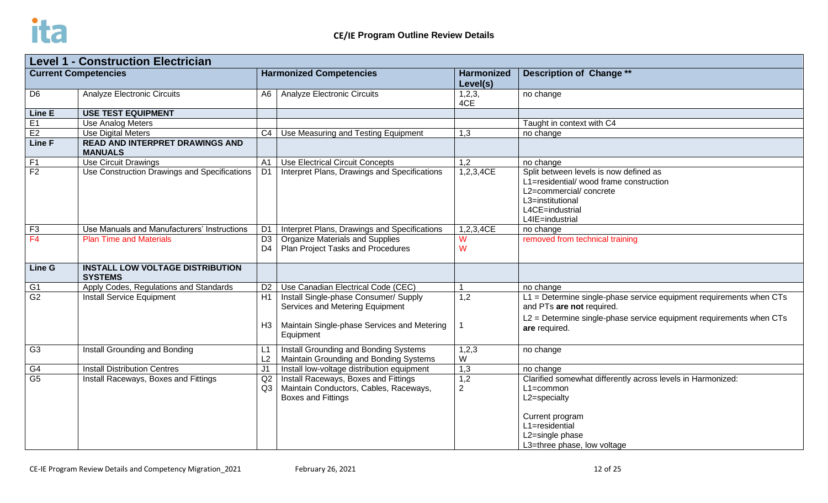

| <b>Level 1 - Construction Electrician</b> |                                                           |                                  |                                                                                 |                               |                                                                                                                                                                       |  |  |
|-------------------------------------------|-----------------------------------------------------------|----------------------------------|---------------------------------------------------------------------------------|-------------------------------|-----------------------------------------------------------------------------------------------------------------------------------------------------------------------|--|--|
|                                           | <b>Current Competencies</b>                               | <b>Harmonized Competencies</b>   |                                                                                 | <b>Harmonized</b><br>Level(s) | <b>Description of Change **</b>                                                                                                                                       |  |  |
| D <sub>6</sub>                            | <b>Analyze Electronic Circuits</b>                        | A6                               | <b>Analyze Electronic Circuits</b>                                              | 1,2,3,<br>4CE                 | no change                                                                                                                                                             |  |  |
| Line E                                    | <b>USE TEST EQUIPMENT</b>                                 |                                  |                                                                                 |                               |                                                                                                                                                                       |  |  |
| E1                                        | <b>Use Analog Meters</b>                                  |                                  |                                                                                 |                               | Taught in context with C4                                                                                                                                             |  |  |
| E2                                        | <b>Use Digital Meters</b>                                 | C <sub>4</sub>                   | Use Measuring and Testing Equipment                                             | 1,3                           | no change                                                                                                                                                             |  |  |
| Line F                                    | <b>READ AND INTERPRET DRAWINGS AND</b><br><b>MANUALS</b>  |                                  |                                                                                 |                               |                                                                                                                                                                       |  |  |
| F1                                        | <b>Use Circuit Drawings</b>                               | A1                               | <b>Use Electrical Circuit Concepts</b>                                          | 1,2                           | no change                                                                                                                                                             |  |  |
| F <sub>2</sub>                            | Use Construction Drawings and Specifications              | D <sub>1</sub>                   | Interpret Plans, Drawings and Specifications                                    | 1,2,3,4CE                     | Split between levels is now defined as<br>L1=residential/ wood frame construction<br>L2=commercial/concrete<br>L3=institutional<br>L4CE=industrial<br>L4IE=industrial |  |  |
| F3                                        | Use Manuals and Manufacturers' Instructions               | D <sub>1</sub>                   | Interpret Plans, Drawings and Specifications                                    | 1,2,3,4CE                     | no change                                                                                                                                                             |  |  |
| F4                                        | <b>Plan Time and Materials</b>                            | D <sub>3</sub><br>D <sub>4</sub> | <b>Organize Materials and Supplies</b><br>Plan Project Tasks and Procedures     | W<br>W                        | removed from technical training                                                                                                                                       |  |  |
| Line G                                    | <b>INSTALL LOW VOLTAGE DISTRIBUTION</b><br><b>SYSTEMS</b> |                                  |                                                                                 |                               |                                                                                                                                                                       |  |  |
| G1                                        | Apply Codes, Regulations and Standards                    | $\overline{D2}$                  | Use Canadian Electrical Code (CEC)                                              |                               | no change                                                                                                                                                             |  |  |
| G2                                        | <b>Install Service Equipment</b>                          | H1                               | Install Single-phase Consumer/ Supply<br>Services and Metering Equipment        | 1,2                           | $L1 =$ Determine single-phase service equipment requirements when $CTs$<br>and PTs are not required.                                                                  |  |  |
|                                           |                                                           | H3                               | Maintain Single-phase Services and Metering<br>Equipment                        |                               | $L2$ = Determine single-phase service equipment requirements when CTs<br>are required.                                                                                |  |  |
| G3                                        | <b>Install Grounding and Bonding</b>                      | L1<br>L2                         | Install Grounding and Bonding Systems<br>Maintain Grounding and Bonding Systems | 1,2,3<br>W                    | no change                                                                                                                                                             |  |  |
| G4                                        | <b>Install Distribution Centres</b>                       | J1                               | Install low-voltage distribution equipment                                      | 1,3                           | no change                                                                                                                                                             |  |  |
| G5                                        | Install Raceways, Boxes and Fittings                      | Q2                               | Install Raceways, Boxes and Fittings                                            | 1,2                           | Clarified somewhat differently across levels in Harmonized:                                                                                                           |  |  |
|                                           |                                                           | Q3                               | Maintain Conductors, Cables, Raceways,<br><b>Boxes and Fittings</b>             | $2^{\circ}$                   | L1=common<br>L2=specialty                                                                                                                                             |  |  |
|                                           |                                                           |                                  |                                                                                 |                               | Current program<br>L1=residential<br>L2=single phase<br>L3=three phase, low voltage                                                                                   |  |  |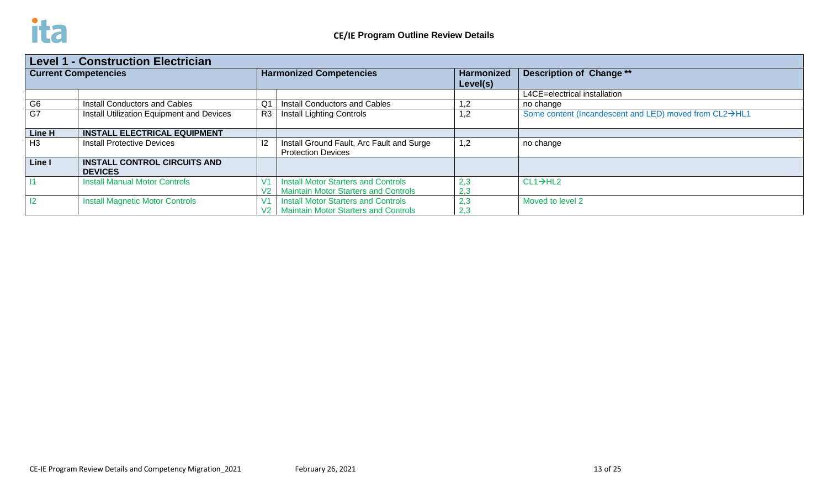|                             | <b>Level 1 - Construction Electrician</b>             |                                |                                                                                           |                               |                                                         |  |  |  |  |
|-----------------------------|-------------------------------------------------------|--------------------------------|-------------------------------------------------------------------------------------------|-------------------------------|---------------------------------------------------------|--|--|--|--|
| <b>Current Competencies</b> |                                                       | <b>Harmonized Competencies</b> |                                                                                           | <b>Harmonized</b><br>Level(s) | <b>Description of Change **</b>                         |  |  |  |  |
|                             |                                                       |                                |                                                                                           |                               | L4CE=electrical installation                            |  |  |  |  |
| G6                          | <b>Install Conductors and Cables</b>                  | Q <sub>1</sub>                 | Install Conductors and Cables                                                             | 1,2                           | no change                                               |  |  |  |  |
| G7                          | Install Utilization Equipment and Devices             | R3                             | Install Lighting Controls                                                                 | 1,2                           | Some content (Incandescent and LED) moved from CL2->HL1 |  |  |  |  |
| Line H                      | <b>INSTALL ELECTRICAL EQUIPMENT</b>                   |                                |                                                                                           |                               |                                                         |  |  |  |  |
| H <sub>3</sub>              | <b>Install Protective Devices</b>                     | $\mathsf{I2}$                  | Install Ground Fault, Arc Fault and Surge<br><b>Protection Devices</b>                    | 1,2                           | no change                                               |  |  |  |  |
| Line I                      | <b>INSTALL CONTROL CIRCUITS AND</b><br><b>DEVICES</b> |                                |                                                                                           |                               |                                                         |  |  |  |  |
| $\mathsf{I}$                | <b>Install Manual Motor Controls</b>                  |                                | <b>Install Motor Starters and Controls</b><br><b>Maintain Motor Starters and Controls</b> | 2,3<br>2,3                    | $CL1 \rightarrow HL2$                                   |  |  |  |  |
| 12 <sup>2</sup>             | <b>Install Magnetic Motor Controls</b>                |                                | <b>Install Motor Starters and Controls</b><br><b>Maintain Motor Starters and Controls</b> | 2,3<br>2,3                    | Moved to level 2                                        |  |  |  |  |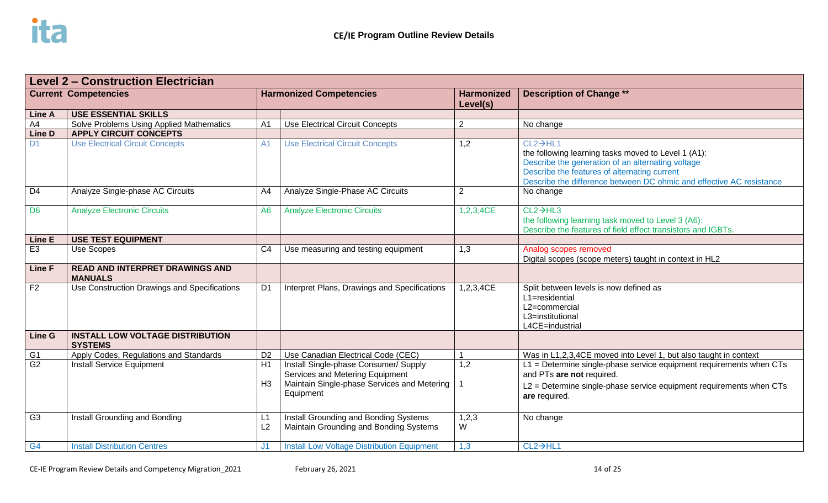|                 | <b>Level 2 - Construction Electrician</b>                 |                                   |                                                                                                                                      |                               |                                                                                                                                                                                                                                                           |  |  |  |
|-----------------|-----------------------------------------------------------|-----------------------------------|--------------------------------------------------------------------------------------------------------------------------------------|-------------------------------|-----------------------------------------------------------------------------------------------------------------------------------------------------------------------------------------------------------------------------------------------------------|--|--|--|
|                 | <b>Current Competencies</b>                               | <b>Harmonized Competencies</b>    |                                                                                                                                      | <b>Harmonized</b><br>Level(s) | <b>Description of Change **</b>                                                                                                                                                                                                                           |  |  |  |
| <b>Line A</b>   | <b>USE ESSENTIAL SKILLS</b>                               |                                   |                                                                                                                                      |                               |                                                                                                                                                                                                                                                           |  |  |  |
| A4              | <b>Solve Problems Using Applied Mathematics</b>           | $\overline{A1}$                   | <b>Use Electrical Circuit Concepts</b>                                                                                               | 2                             | No change                                                                                                                                                                                                                                                 |  |  |  |
| <b>Line D</b>   | <b>APPLY CIRCUIT CONCEPTS</b>                             |                                   |                                                                                                                                      |                               |                                                                                                                                                                                                                                                           |  |  |  |
| D <sub>1</sub>  | <b>Use Electrical Circuit Concepts</b>                    | A1                                | <b>Use Electrical Circuit Concepts</b>                                                                                               | 1,2                           | $CL2 \rightarrow HLI$<br>the following learning tasks moved to Level 1 (A1):<br>Describe the generation of an alternating voltage<br>Describe the features of alternating current<br>Describe the difference between DC ohmic and effective AC resistance |  |  |  |
| D <sub>4</sub>  | Analyze Single-phase AC Circuits                          | A4                                | Analyze Single-Phase AC Circuits                                                                                                     | $\overline{2}$                | No change                                                                                                                                                                                                                                                 |  |  |  |
| D <sub>6</sub>  | <b>Analyze Electronic Circuits</b>                        | A <sub>6</sub>                    | <b>Analyze Electronic Circuits</b>                                                                                                   | 1,2,3,4CE                     | $CL2 \rightarrow HL3$<br>the following learning task moved to Level 3 (A6):<br>Describe the features of field effect transistors and IGBTs.                                                                                                               |  |  |  |
| Line E          | <b>USE TEST EQUIPMENT</b>                                 |                                   |                                                                                                                                      |                               |                                                                                                                                                                                                                                                           |  |  |  |
| E3              | Use Scopes                                                | $\overline{C4}$                   | Use measuring and testing equipment                                                                                                  | 1,3                           | Analog scopes removed<br>Digital scopes (scope meters) taught in context in HL2                                                                                                                                                                           |  |  |  |
| <b>Line F</b>   | <b>READ AND INTERPRET DRAWINGS AND</b><br><b>MANUALS</b>  |                                   |                                                                                                                                      |                               |                                                                                                                                                                                                                                                           |  |  |  |
| F <sub>2</sub>  | Use Construction Drawings and Specifications              | D <sub>1</sub>                    | Interpret Plans, Drawings and Specifications                                                                                         | 1,2,3,4CE                     | Split between levels is now defined as<br>L1=residential<br>L2=commercial<br>L3=institutional<br>L4CE=industrial                                                                                                                                          |  |  |  |
| <b>Line G</b>   | <b>INSTALL LOW VOLTAGE DISTRIBUTION</b><br><b>SYSTEMS</b> |                                   |                                                                                                                                      |                               |                                                                                                                                                                                                                                                           |  |  |  |
| G <sub>1</sub>  | Apply Codes, Regulations and Standards                    | D <sub>2</sub>                    | Use Canadian Electrical Code (CEC)                                                                                                   |                               | Was in L1,2,3,4CE moved into Level 1, but also taught in context                                                                                                                                                                                          |  |  |  |
| G2              | Install Service Equipment                                 | $\overline{H1}$<br>H <sub>3</sub> | Install Single-phase Consumer/ Supply<br>Services and Metering Equipment<br>Maintain Single-phase Services and Metering<br>Equipment | 1,2                           | L1 = Determine single-phase service equipment requirements when CTs<br>and PTs are not required.<br>L2 = Determine single-phase service equipment requirements when CTs<br>are required.                                                                  |  |  |  |
| $\overline{G3}$ | Install Grounding and Bonding                             | L1<br>L2                          | <b>Install Grounding and Bonding Systems</b><br>Maintain Grounding and Bonding Systems                                               | 1,2,3<br>W                    | $\overline{No}$ change                                                                                                                                                                                                                                    |  |  |  |
| G <sub>4</sub>  | <b>Install Distribution Centres</b>                       | J <sub>1</sub>                    | <b>Install Low Voltage Distribution Equipment</b>                                                                                    | 1,3                           | $CL2 \rightarrow HLI$                                                                                                                                                                                                                                     |  |  |  |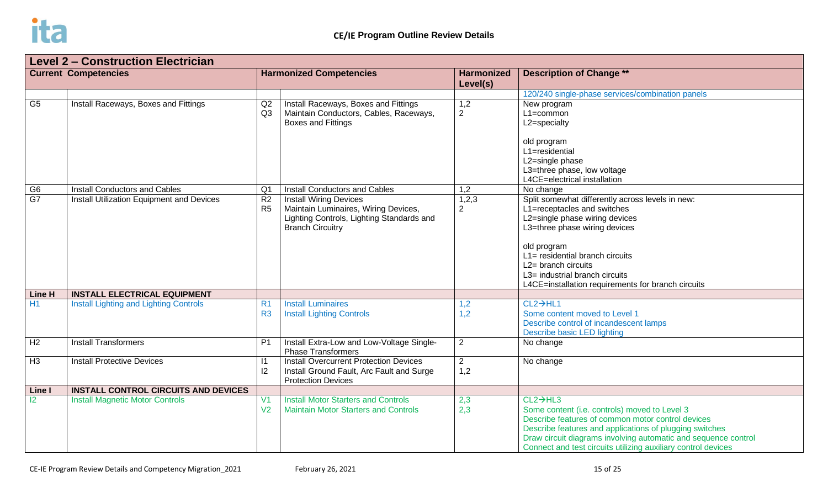|                | <b>Level 2 - Construction Electrician</b>     |                                  |                                                                                                                                               |                               |                                                                                                                                                                                                                                                                                                                           |
|----------------|-----------------------------------------------|----------------------------------|-----------------------------------------------------------------------------------------------------------------------------------------------|-------------------------------|---------------------------------------------------------------------------------------------------------------------------------------------------------------------------------------------------------------------------------------------------------------------------------------------------------------------------|
|                | <b>Current Competencies</b>                   | <b>Harmonized Competencies</b>   |                                                                                                                                               | <b>Harmonized</b><br>Level(s) | <b>Description of Change **</b>                                                                                                                                                                                                                                                                                           |
|                |                                               |                                  |                                                                                                                                               |                               | 120/240 single-phase services/combination panels                                                                                                                                                                                                                                                                          |
| G5             | Install Raceways, Boxes and Fittings          | Q2<br>Q3                         | Install Raceways, Boxes and Fittings<br>Maintain Conductors, Cables, Raceways,<br><b>Boxes and Fittings</b>                                   | 1,2<br>$\overline{2}$         | New program<br>L1=common<br>L2=specialty                                                                                                                                                                                                                                                                                  |
|                |                                               |                                  |                                                                                                                                               |                               | old program<br>L1=residential<br>L2=single phase<br>L3=three phase, low voltage<br>L4CE=electrical installation                                                                                                                                                                                                           |
| G6             | Install Conductors and Cables                 | Q <sub>1</sub>                   | Install Conductors and Cables                                                                                                                 | 1,2                           | No change                                                                                                                                                                                                                                                                                                                 |
| G7             | Install Utilization Equipment and Devices     | R <sub>2</sub><br>R <sub>5</sub> | <b>Install Wiring Devices</b><br>Maintain Luminaires, Wiring Devices,<br>Lighting Controls, Lighting Standards and<br><b>Branch Circuitry</b> | 1,2,3<br>$\overline{2}$       | Split somewhat differently across levels in new:<br>L1=receptacles and switches<br>L2=single phase wiring devices<br>L3=three phase wiring devices                                                                                                                                                                        |
|                |                                               |                                  |                                                                                                                                               |                               | old program<br>L1= residential branch circuits<br>L2= branch circuits<br>L3= industrial branch circuits<br>L4CE=installation requirements for branch circuits                                                                                                                                                             |
| Line H         | <b>INSTALL ELECTRICAL EQUIPMENT</b>           |                                  |                                                                                                                                               |                               |                                                                                                                                                                                                                                                                                                                           |
| H1             | <b>Install Lighting and Lighting Controls</b> | R <sub>1</sub><br>R <sub>3</sub> | <b>Install Luminaires</b><br><b>Install Lighting Controls</b>                                                                                 | 1,2<br>1,2                    | $CL2 \rightarrow HL1$<br>Some content moved to Level 1<br>Describe control of incandescent lamps<br>Describe basic LED lighting                                                                                                                                                                                           |
| H <sub>2</sub> | <b>Install Transformers</b>                   | P <sub>1</sub>                   | Install Extra-Low and Low-Voltage Single-<br><b>Phase Transformers</b>                                                                        | $\overline{2}$                | No change                                                                                                                                                                                                                                                                                                                 |
| $H_3$          | <b>Install Protective Devices</b>             | 1<br>12                          | <b>Install Overcurrent Protection Devices</b><br>Install Ground Fault, Arc Fault and Surge<br><b>Protection Devices</b>                       | $\overline{2}$<br>1,2         | No change                                                                                                                                                                                                                                                                                                                 |
| Line I         | <b>INSTALL CONTROL CIRCUITS AND DEVICES</b>   |                                  |                                                                                                                                               |                               |                                                                                                                                                                                                                                                                                                                           |
| 2              | <b>Install Magnetic Motor Controls</b>        | V <sub>1</sub><br>V <sub>2</sub> | <b>Install Motor Starters and Controls</b><br><b>Maintain Motor Starters and Controls</b>                                                     | 2,3<br>2,3                    | $CL2 \rightarrow HL3$<br>Some content (i.e. controls) moved to Level 3<br>Describe features of common motor control devices<br>Describe features and applications of plugging switches<br>Draw circuit diagrams involving automatic and sequence control<br>Connect and test circuits utilizing auxiliary control devices |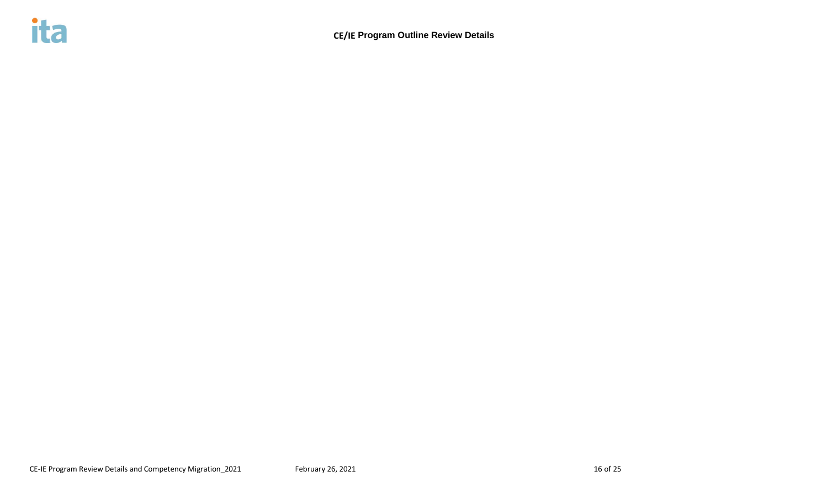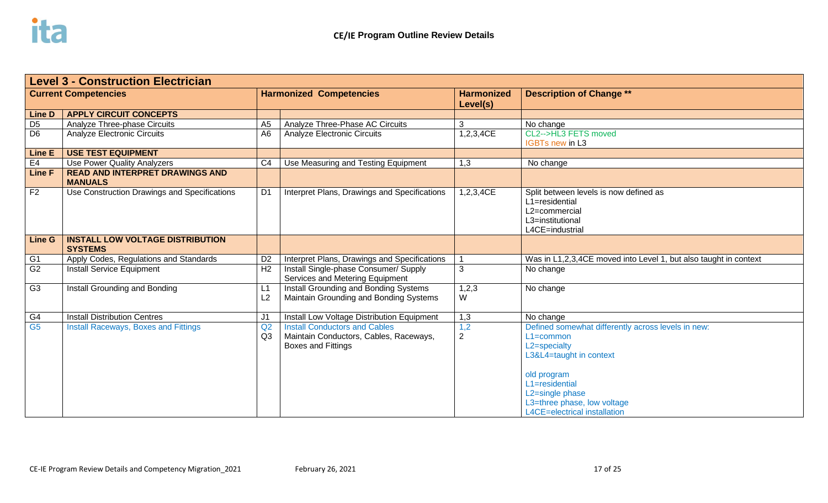|                 | <b>Level 3 - Construction Electrician</b>                 |                 |                                                                                 |                               |                                                                                                                  |  |  |  |
|-----------------|-----------------------------------------------------------|-----------------|---------------------------------------------------------------------------------|-------------------------------|------------------------------------------------------------------------------------------------------------------|--|--|--|
|                 | <b>Current Competencies</b>                               |                 | <b>Harmonized Competencies</b>                                                  | <b>Harmonized</b><br>Level(s) | <b>Description of Change **</b>                                                                                  |  |  |  |
| Line D          | <b>APPLY CIRCUIT CONCEPTS</b>                             |                 |                                                                                 |                               |                                                                                                                  |  |  |  |
| D <sub>5</sub>  | Analyze Three-phase Circuits                              | A <sub>5</sub>  | Analyze Three-Phase AC Circuits                                                 | 3                             | No change                                                                                                        |  |  |  |
| $\overline{D6}$ | <b>Analyze Electronic Circuits</b>                        | $\overline{A6}$ | <b>Analyze Electronic Circuits</b>                                              | 1,2,3,4CE                     | CL2-->HL3 FETS moved<br><b>IGBTs new in L3</b>                                                                   |  |  |  |
| Line E          | <b>USE TEST EQUIPMENT</b>                                 |                 |                                                                                 |                               |                                                                                                                  |  |  |  |
| E <sub>4</sub>  | <b>Use Power Quality Analyzers</b>                        | C <sub>4</sub>  | Use Measuring and Testing Equipment                                             | 1,3                           | No change                                                                                                        |  |  |  |
| Line F          | <b>READ AND INTERPRET DRAWINGS AND</b><br><b>MANUALS</b>  |                 |                                                                                 |                               |                                                                                                                  |  |  |  |
| F <sub>2</sub>  | Use Construction Drawings and Specifications              | D <sub>1</sub>  | Interpret Plans, Drawings and Specifications                                    | 1,2,3,4CE                     | Split between levels is now defined as<br>L1=residential<br>L2=commercial<br>L3=institutional<br>L4CE=industrial |  |  |  |
| <b>Line G</b>   | <b>INSTALL LOW VOLTAGE DISTRIBUTION</b><br><b>SYSTEMS</b> |                 |                                                                                 |                               |                                                                                                                  |  |  |  |
| G <sub>1</sub>  | Apply Codes, Regulations and Standards                    | D <sub>2</sub>  | Interpret Plans, Drawings and Specifications                                    |                               | Was in L1,2,3,4CE moved into Level 1, but also taught in context                                                 |  |  |  |
| G2              | <b>Install Service Equipment</b>                          | H <sub>2</sub>  | Install Single-phase Consumer/ Supply<br>Services and Metering Equipment        | 3                             | No change                                                                                                        |  |  |  |
| G <sub>3</sub>  | Install Grounding and Bonding                             | L1<br>L2        | Install Grounding and Bonding Systems<br>Maintain Grounding and Bonding Systems | 1,2,3<br>W                    | No change                                                                                                        |  |  |  |
| G4              | <b>Install Distribution Centres</b>                       | J <sub>1</sub>  | Install Low Voltage Distribution Equipment                                      | 1,3                           | No change                                                                                                        |  |  |  |
| G <sub>5</sub>  | <b>Install Raceways, Boxes and Fittings</b>               | Q2              | <b>Install Conductors and Cables</b>                                            | 1,2                           | Defined somewhat differently across levels in new:                                                               |  |  |  |
|                 |                                                           | Q3              | Maintain Conductors, Cables, Raceways,                                          | $\overline{2}$                | $L1 = common$                                                                                                    |  |  |  |
|                 |                                                           |                 | <b>Boxes and Fittings</b>                                                       |                               | L2=specialty                                                                                                     |  |  |  |
|                 |                                                           |                 |                                                                                 |                               | L3&L4=taught in context                                                                                          |  |  |  |
|                 |                                                           |                 |                                                                                 |                               | old program                                                                                                      |  |  |  |
|                 |                                                           |                 |                                                                                 |                               | L1=residential                                                                                                   |  |  |  |
|                 |                                                           |                 |                                                                                 |                               | L2=single phase                                                                                                  |  |  |  |
|                 |                                                           |                 |                                                                                 |                               | L3=three phase, low voltage                                                                                      |  |  |  |
|                 |                                                           |                 |                                                                                 |                               | L4CE=electrical installation                                                                                     |  |  |  |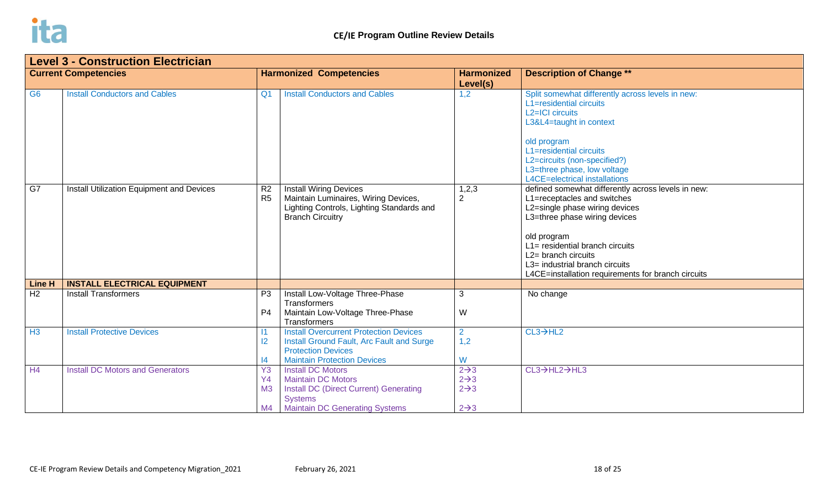|                 | <b>Level 3 - Construction Electrician</b> |                                                     |                                                                                                                                                                   |                                                                                 |                                                                                                                                                                                                                  |  |  |  |  |
|-----------------|-------------------------------------------|-----------------------------------------------------|-------------------------------------------------------------------------------------------------------------------------------------------------------------------|---------------------------------------------------------------------------------|------------------------------------------------------------------------------------------------------------------------------------------------------------------------------------------------------------------|--|--|--|--|
|                 | <b>Current Competencies</b>               |                                                     | <b>Harmonized Competencies</b>                                                                                                                                    | <b>Harmonized</b><br>Level(s)                                                   | <b>Description of Change **</b>                                                                                                                                                                                  |  |  |  |  |
| G <sub>6</sub>  | <b>Install Conductors and Cables</b>      | <b>Install Conductors and Cables</b><br>Q1          |                                                                                                                                                                   | 1,2                                                                             | Split somewhat differently across levels in new:<br>L1=residential circuits<br>L <sub>2</sub> =ICI circuits<br>L3&L4=taught in context<br>old program<br>L1=residential circuits<br>L2=circuits (non-specified?) |  |  |  |  |
|                 |                                           |                                                     |                                                                                                                                                                   |                                                                                 | L3=three phase, low voltage<br><b>L4CE=electrical installations</b>                                                                                                                                              |  |  |  |  |
| $\overline{G7}$ | Install Utilization Equipment and Devices | R <sub>2</sub><br>R <sub>5</sub>                    | <b>Install Wiring Devices</b><br>Maintain Luminaires, Wiring Devices,<br>Lighting Controls, Lighting Standards and<br><b>Branch Circuitry</b>                     | 1,2,3<br>$\overline{2}$                                                         | defined somewhat differently across levels in new:<br>L1=receptacles and switches<br>L2=single phase wiring devices<br>L3=three phase wiring devices<br>old program                                              |  |  |  |  |
|                 |                                           |                                                     |                                                                                                                                                                   |                                                                                 | L1= residential branch circuits<br>L2= branch circuits<br>L3= industrial branch circuits<br>L4CE=installation requirements for branch circuits                                                                   |  |  |  |  |
| Line H          | <b>INSTALL ELECTRICAL EQUIPMENT</b>       |                                                     |                                                                                                                                                                   |                                                                                 |                                                                                                                                                                                                                  |  |  |  |  |
| H <sub>2</sub>  | <b>Install Transformers</b>               | P <sub>3</sub><br>P <sub>4</sub>                    | Install Low-Voltage Three-Phase<br><b>Transformers</b><br>Maintain Low-Voltage Three-Phase<br><b>Transformers</b>                                                 | 3<br>W                                                                          | No change                                                                                                                                                                                                        |  |  |  |  |
| $H_3$           | <b>Install Protective Devices</b>         | $\vert$ 1<br> 2 <br>$\mathsf{I}4$                   | <b>Install Overcurrent Protection Devices</b><br>Install Ground Fault, Arc Fault and Surge<br><b>Protection Devices</b><br><b>Maintain Protection Devices</b>     | $\overline{2}$<br>1,2<br>W                                                      | $CL3 \rightarrow HL2$                                                                                                                                                                                            |  |  |  |  |
| H4              | <b>Install DC Motors and Generators</b>   | Y <sub>3</sub><br><b>Y4</b><br>M <sub>3</sub><br>M4 | <b>Install DC Motors</b><br><b>Maintain DC Motors</b><br><b>Install DC (Direct Current) Generating</b><br><b>Systems</b><br><b>Maintain DC Generating Systems</b> | $2\rightarrow 3$<br>$2 \rightarrow 3$<br>$2 \rightarrow 3$<br>$2 \rightarrow 3$ | CL3->HL2->HL3                                                                                                                                                                                                    |  |  |  |  |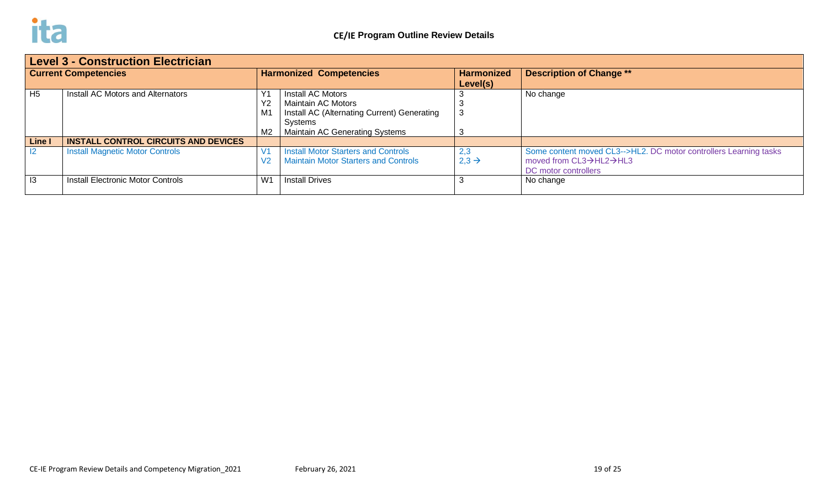

|                | <b>Level 3 - Construction Electrician</b>   |                                |                                             |                   |                                                                   |  |  |  |
|----------------|---------------------------------------------|--------------------------------|---------------------------------------------|-------------------|-------------------------------------------------------------------|--|--|--|
|                | <b>Current Competencies</b>                 | <b>Harmonized Competencies</b> |                                             | <b>Harmonized</b> | <b>Description of Change **</b>                                   |  |  |  |
|                |                                             |                                |                                             | Level(s)          |                                                                   |  |  |  |
| H <sub>5</sub> | Install AC Motors and Alternators           |                                | Install AC Motors                           |                   | No change                                                         |  |  |  |
|                |                                             | Y2                             | <b>Maintain AC Motors</b>                   |                   |                                                                   |  |  |  |
|                |                                             |                                | Install AC (Alternating Current) Generating |                   |                                                                   |  |  |  |
|                |                                             |                                | Svstems                                     |                   |                                                                   |  |  |  |
|                |                                             | M2                             | <b>Maintain AC Generating Systems</b>       |                   |                                                                   |  |  |  |
| Line I         | <b>INSTALL CONTROL CIRCUITS AND DEVICES</b> |                                |                                             |                   |                                                                   |  |  |  |
| 12             | <b>Install Magnetic Motor Controls</b>      | V <sub>1</sub>                 | <b>Install Motor Starters and Controls</b>  | 2,3               | Some content moved CL3-->HL2. DC motor controllers Learning tasks |  |  |  |
|                |                                             | V <sub>2</sub>                 | <b>Maintain Motor Starters and Controls</b> | $2,3 \rightarrow$ | moved from $CL3 \rightarrow HL2 \rightarrow HL3$                  |  |  |  |
|                |                                             |                                |                                             |                   | DC motor controllers                                              |  |  |  |
| 13             | <b>Install Electronic Motor Controls</b>    | W <sub>1</sub>                 | <b>Install Drives</b>                       |                   | No change                                                         |  |  |  |
|                |                                             |                                |                                             |                   |                                                                   |  |  |  |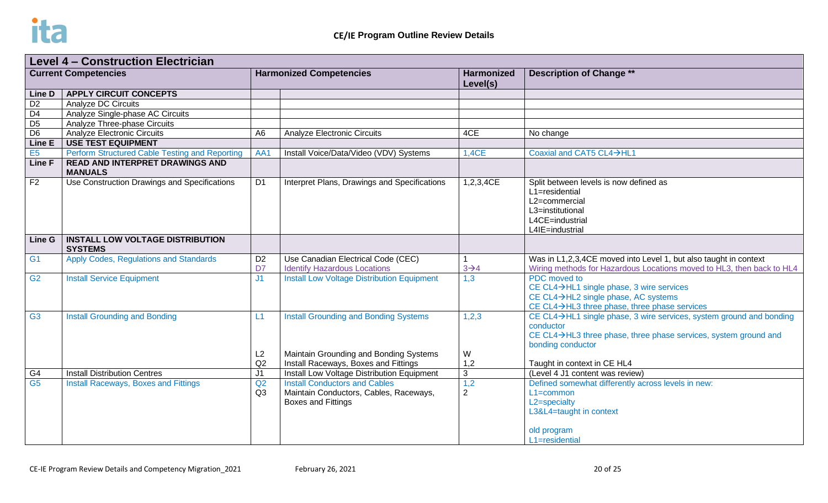

|                 | <b>Level 4 - Construction Electrician</b>                 |                            |                                                                                                                                |                               |                                                                                                                                                                                                          |  |  |  |
|-----------------|-----------------------------------------------------------|----------------------------|--------------------------------------------------------------------------------------------------------------------------------|-------------------------------|----------------------------------------------------------------------------------------------------------------------------------------------------------------------------------------------------------|--|--|--|
|                 | <b>Current Competencies</b>                               |                            | <b>Harmonized Competencies</b>                                                                                                 | <b>Harmonized</b><br>Level(s) | <b>Description of Change **</b>                                                                                                                                                                          |  |  |  |
| Line D          | <b>APPLY CIRCUIT CONCEPTS</b>                             |                            |                                                                                                                                |                               |                                                                                                                                                                                                          |  |  |  |
| D2              | <b>Analyze DC Circuits</b>                                |                            |                                                                                                                                |                               |                                                                                                                                                                                                          |  |  |  |
| $\overline{D4}$ | Analyze Single-phase AC Circuits                          |                            |                                                                                                                                |                               |                                                                                                                                                                                                          |  |  |  |
| $\overline{D5}$ | Analyze Three-phase Circuits                              |                            |                                                                                                                                |                               |                                                                                                                                                                                                          |  |  |  |
| D6              | <b>Analyze Electronic Circuits</b>                        | A <sub>6</sub>             | <b>Analyze Electronic Circuits</b>                                                                                             | 4CE                           | No change                                                                                                                                                                                                |  |  |  |
| Line E          | <b>USE TEST EQUIPMENT</b>                                 |                            |                                                                                                                                |                               |                                                                                                                                                                                                          |  |  |  |
| E <sub>5</sub>  | Perform Structured Cable Testing and Reporting            | AA1                        | Install Voice/Data/Video (VDV) Systems                                                                                         | 1,4CE                         | Coaxial and CAT5 CL4→HL1                                                                                                                                                                                 |  |  |  |
| Line F          | <b>READ AND INTERPRET DRAWINGS AND</b><br><b>MANUALS</b>  |                            |                                                                                                                                |                               |                                                                                                                                                                                                          |  |  |  |
| F <sub>2</sub>  | Use Construction Drawings and Specifications              | D <sub>1</sub>             | Interpret Plans, Drawings and Specifications                                                                                   | 1,2,3,4CE                     | Split between levels is now defined as<br>L1=residential<br>L2=commercial<br>L3=institutional<br>L4CE=industrial<br>L4IE=industrial                                                                      |  |  |  |
| Line G          | <b>INSTALL LOW VOLTAGE DISTRIBUTION</b><br><b>SYSTEMS</b> |                            |                                                                                                                                |                               |                                                                                                                                                                                                          |  |  |  |
| G <sub>1</sub>  | Apply Codes, Regulations and Standards                    | D <sub>2</sub><br>D7       | Use Canadian Electrical Code (CEC)<br><b>Identify Hazardous Locations</b>                                                      | $3\rightarrow 4$              | Was in L1,2,3,4CE moved into Level 1, but also taught in context<br>Wiring methods for Hazardous Locations moved to HL3, then back to HL4                                                                |  |  |  |
| G2              | <b>Install Service Equipment</b>                          | J <sub>1</sub>             | <b>Install Low Voltage Distribution Equipment</b>                                                                              | 1,3                           | PDC moved to<br>CE CL4→HL1 single phase, 3 wire services<br>CE CL4→HL2 single phase, AC systems<br>CE CL4→HL3 three phase, three phase services                                                          |  |  |  |
| G <sub>3</sub>  | <b>Install Grounding and Bonding</b>                      | L1<br>L <sub>2</sub><br>Q2 | <b>Install Grounding and Bonding Systems</b><br>Maintain Grounding and Bonding Systems<br>Install Raceways, Boxes and Fittings | 1, 2, 3<br>W<br>1,2           | CE CL4->HL1 single phase, 3 wire services, system ground and bonding<br>conductor<br>CE CL4→HL3 three phase, three phase services, system ground and<br>bonding conductor<br>Taught in context in CE HL4 |  |  |  |
| G4              | <b>Install Distribution Centres</b>                       | J <sub>1</sub>             | Install Low Voltage Distribution Equipment                                                                                     | $\mathbf{3}$                  | $\overline{L}$ (Level 4 J1 content was review)                                                                                                                                                           |  |  |  |
| G <sub>5</sub>  | <b>Install Raceways, Boxes and Fittings</b>               | Q2                         | <b>Install Conductors and Cables</b>                                                                                           | 1,2                           | Defined somewhat differently across levels in new:                                                                                                                                                       |  |  |  |
|                 |                                                           | Q3                         | Maintain Conductors, Cables, Raceways,                                                                                         | 2                             | L1=common                                                                                                                                                                                                |  |  |  |
|                 |                                                           |                            | <b>Boxes and Fittings</b>                                                                                                      |                               | L2=specialty                                                                                                                                                                                             |  |  |  |
|                 |                                                           |                            |                                                                                                                                |                               | L3&L4=taught in context                                                                                                                                                                                  |  |  |  |
|                 |                                                           |                            |                                                                                                                                |                               | old program<br>L1=residential                                                                                                                                                                            |  |  |  |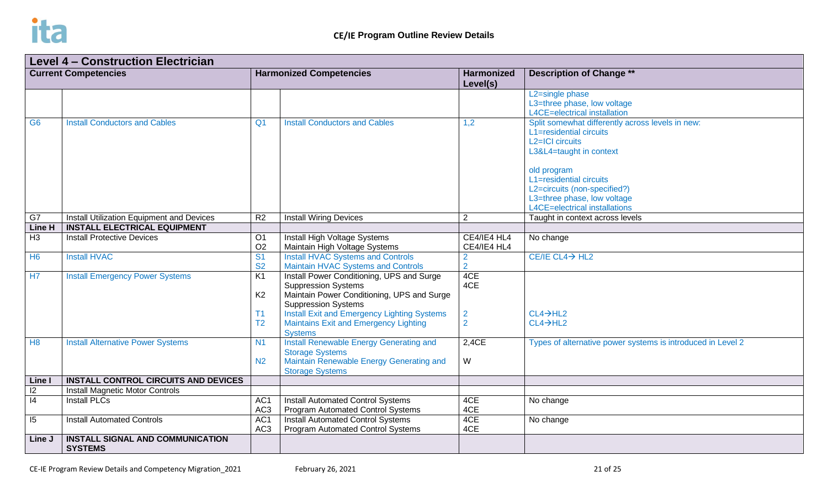

|                | Level 4 – Construction Electrician                        |                                    |                                                                                                                                                            |                                  |                                                                                                                                        |  |  |  |
|----------------|-----------------------------------------------------------|------------------------------------|------------------------------------------------------------------------------------------------------------------------------------------------------------|----------------------------------|----------------------------------------------------------------------------------------------------------------------------------------|--|--|--|
|                | <b>Current Competencies</b>                               | <b>Harmonized Competencies</b>     |                                                                                                                                                            | <b>Harmonized</b><br>Level(s)    | <b>Description of Change **</b>                                                                                                        |  |  |  |
|                |                                                           |                                    |                                                                                                                                                            |                                  | L2=single phase<br>L3=three phase, low voltage<br>L4CE=electrical installation                                                         |  |  |  |
| G <sub>6</sub> | <b>Install Conductors and Cables</b>                      | Q <sub>1</sub>                     | <b>Install Conductors and Cables</b>                                                                                                                       | 1,2                              | Split somewhat differently across levels in new:<br>L1=residential circuits<br>L <sub>2</sub> =ICI circuits<br>L3&L4=taught in context |  |  |  |
|                |                                                           |                                    |                                                                                                                                                            |                                  | old program<br>L1=residential circuits<br>L2=circuits (non-specified?)<br>L3=three phase, low voltage<br>L4CE=electrical installations |  |  |  |
| G7             | Install Utilization Equipment and Devices                 | R2                                 | <b>Install Wiring Devices</b>                                                                                                                              | 2                                | Taught in context across levels                                                                                                        |  |  |  |
| Line H         | INSTALL ELECTRICAL EQUIPMENT                              |                                    |                                                                                                                                                            |                                  |                                                                                                                                        |  |  |  |
| H3             | <b>Install Protective Devices</b>                         | O <sub>1</sub><br>O <sub>2</sub>   | <b>Install High Voltage Systems</b><br>Maintain High Voltage Systems                                                                                       | CE4/IE4 HL4<br>CE4/IE4 HL4       | No change                                                                                                                              |  |  |  |
| H <sub>6</sub> | <b>Install HVAC</b>                                       | S <sub>1</sub><br><b>S2</b>        | <b>Install HVAC Systems and Controls</b><br>Maintain HVAC Systems and Controls                                                                             | $\overline{2}$<br>$\overline{2}$ | $CE/IE CL4 \rightarrow HL2$                                                                                                            |  |  |  |
| H7             | <b>Install Emergency Power Systems</b>                    | K1<br>K <sub>2</sub>               | <b>Install Power Conditioning, UPS and Surge</b><br><b>Suppression Systems</b><br>Maintain Power Conditioning, UPS and Surge<br><b>Suppression Systems</b> | 4CE<br>4CE                       |                                                                                                                                        |  |  |  |
|                |                                                           | T <sub>1</sub><br>T <sub>2</sub>   | Install Exit and Emergency Lighting Systems<br><b>Maintains Exit and Emergency Lighting</b><br><b>Systems</b>                                              | $\overline{2}$<br>$\overline{2}$ | $CL4 \rightarrow HL2$<br>$CL4 \rightarrow HL2$                                                                                         |  |  |  |
| H <sub>8</sub> | <b>Install Alternative Power Systems</b>                  | N <sub>1</sub><br>N <sub>2</sub>   | Install Renewable Energy Generating and<br><b>Storage Systems</b><br>Maintain Renewable Energy Generating and<br><b>Storage Systems</b>                    | 2,4CE<br>W                       | Types of alternative power systems is introduced in Level 2                                                                            |  |  |  |
| Line I         | <b>INSTALL CONTROL CIRCUITS AND DEVICES</b>               |                                    |                                                                                                                                                            |                                  |                                                                                                                                        |  |  |  |
| 12             | <b>Install Magnetic Motor Controls</b>                    |                                    |                                                                                                                                                            |                                  |                                                                                                                                        |  |  |  |
| 4              | <b>Install PLCs</b>                                       | AC <sub>1</sub><br>AC <sub>3</sub> | <b>Install Automated Control Systems</b><br>Program Automated Control Systems                                                                              | 4CE<br>4CE                       | No change                                                                                                                              |  |  |  |
| 15             | <b>Install Automated Controls</b>                         | AC <sub>1</sub><br>AC <sub>3</sub> | <b>Install Automated Control Systems</b><br><b>Program Automated Control Systems</b>                                                                       | 4CE<br>4CE                       | No change                                                                                                                              |  |  |  |
| Line J         | <b>INSTALL SIGNAL AND COMMUNICATION</b><br><b>SYSTEMS</b> |                                    |                                                                                                                                                            |                                  |                                                                                                                                        |  |  |  |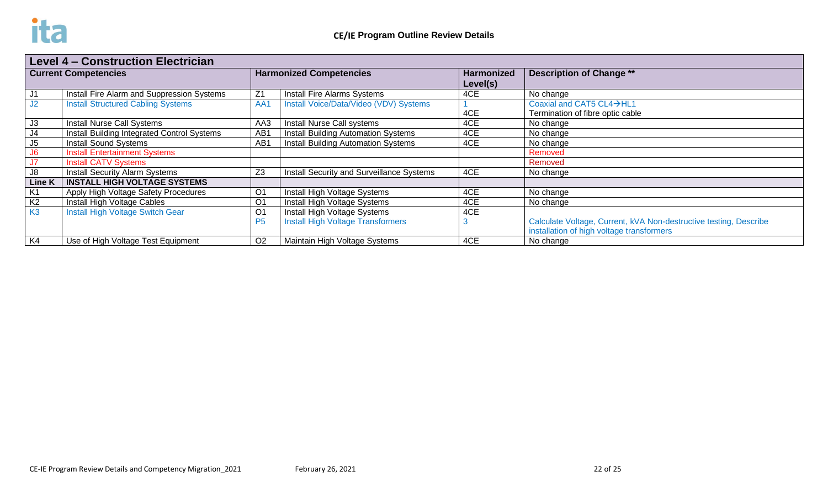|                             | <b>Level 4 - Construction Electrician</b>   |                                |                                            |                               |                                                                   |  |  |  |  |
|-----------------------------|---------------------------------------------|--------------------------------|--------------------------------------------|-------------------------------|-------------------------------------------------------------------|--|--|--|--|
| <b>Current Competencies</b> |                                             | <b>Harmonized Competencies</b> |                                            | <b>Harmonized</b><br>Level(s) | <b>Description of Change **</b>                                   |  |  |  |  |
| J1                          | Install Fire Alarm and Suppression Systems  | Z <sub>1</sub>                 | Install Fire Alarms Systems                | 4CE                           | No change                                                         |  |  |  |  |
| J2                          | <b>Install Structured Cabling Systems</b>   | AA1                            | Install Voice/Data/Video (VDV) Systems     |                               | Coaxial and CAT5 CL4→HL1                                          |  |  |  |  |
|                             |                                             |                                |                                            | 4CE                           | Termination of fibre optic cable                                  |  |  |  |  |
| J3                          | Install Nurse Call Systems                  | AA3                            | Install Nurse Call systems                 | 4CE                           | No change                                                         |  |  |  |  |
| J4                          | Install Building Integrated Control Systems | AB1                            | <b>Install Building Automation Systems</b> | 4CE                           | No change                                                         |  |  |  |  |
| J5                          | <b>Install Sound Systems</b>                | AB <sub>1</sub>                | <b>Install Building Automation Systems</b> | 4CE                           | No change                                                         |  |  |  |  |
| J6                          | <b>Install Entertainment Systems</b>        |                                |                                            |                               | Removed                                                           |  |  |  |  |
| J7                          | <b>Install CATV Systems</b>                 |                                |                                            |                               | Removed                                                           |  |  |  |  |
| J8                          | <b>Install Security Alarm Systems</b>       | Z <sub>3</sub>                 | Install Security and Surveillance Systems  | 4CE                           | No change                                                         |  |  |  |  |
| Line K                      | <b>INSTALL HIGH VOLTAGE SYSTEMS</b>         |                                |                                            |                               |                                                                   |  |  |  |  |
| K1                          | Apply High Voltage Safety Procedures        | O <sub>1</sub>                 | Install High Voltage Systems               | 4CE                           | No change                                                         |  |  |  |  |
| K2                          | Install High Voltage Cables                 | O <sub>1</sub>                 | Install High Voltage Systems               | 4CE                           | No change                                                         |  |  |  |  |
| K3                          | Install High Voltage Switch Gear            | O <sub>1</sub>                 | Install High Voltage Systems               | 4CE                           |                                                                   |  |  |  |  |
|                             |                                             | <b>P5</b>                      | <b>Install High Voltage Transformers</b>   | ю                             | Calculate Voltage, Current, kVA Non-destructive testing, Describe |  |  |  |  |
|                             |                                             |                                |                                            |                               | installation of high voltage transformers                         |  |  |  |  |
| K4                          | Use of High Voltage Test Equipment          | O <sub>2</sub>                 | Maintain High Voltage Systems              | 4CE                           | No change                                                         |  |  |  |  |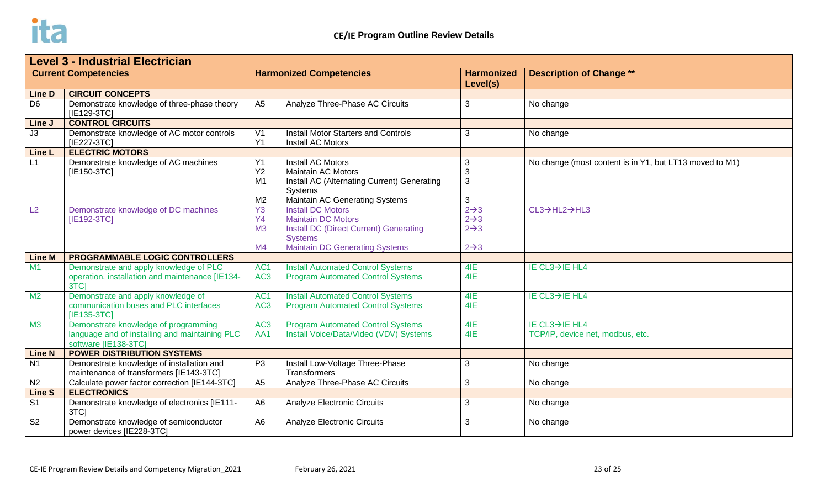

|                | <b>Level 3 - Industrial Electrician</b>                                                                        |                                                     |                                                                                                                                                                   |                                                                              |                                                          |  |  |  |  |
|----------------|----------------------------------------------------------------------------------------------------------------|-----------------------------------------------------|-------------------------------------------------------------------------------------------------------------------------------------------------------------------|------------------------------------------------------------------------------|----------------------------------------------------------|--|--|--|--|
|                | <b>Current Competencies</b>                                                                                    |                                                     | <b>Harmonized Competencies</b>                                                                                                                                    | <b>Harmonized</b><br>Level(s)                                                | <b>Description of Change **</b>                          |  |  |  |  |
| <b>Line D</b>  | <b>CIRCUIT CONCEPTS</b>                                                                                        |                                                     |                                                                                                                                                                   |                                                                              |                                                          |  |  |  |  |
| D <sub>6</sub> | Demonstrate knowledge of three-phase theory<br>[IE129-3TC]                                                     | A <sub>5</sub>                                      | Analyze Three-Phase AC Circuits                                                                                                                                   | 3                                                                            | No change                                                |  |  |  |  |
| Line J         | <b>CONTROL CIRCUITS</b>                                                                                        |                                                     |                                                                                                                                                                   |                                                                              |                                                          |  |  |  |  |
| J3             | Demonstrate knowledge of AC motor controls<br>[IE227-3TC]                                                      | V <sub>1</sub><br>Y1                                | <b>Install Motor Starters and Controls</b><br>Install AC Motors                                                                                                   | 3                                                                            | No change                                                |  |  |  |  |
| Line L         | <b>ELECTRIC MOTORS</b>                                                                                         |                                                     |                                                                                                                                                                   |                                                                              |                                                          |  |  |  |  |
| L1             | Demonstrate knowledge of AC machines<br>[IE150-3TC]                                                            | Y1<br>Y2<br>M1<br>M <sub>2</sub>                    | Install AC Motors<br><b>Maintain AC Motors</b><br>Install AC (Alternating Current) Generating<br>Systems<br><b>Maintain AC Generating Systems</b>                 | 3<br>3<br>3<br>3                                                             | No change (most content is in Y1, but LT13 moved to M1)  |  |  |  |  |
| L2             | Demonstrate knowledge of DC machines<br>[IE192-3TC]                                                            | Y3<br><b>Y4</b><br>M <sub>3</sub><br>M <sub>4</sub> | <b>Install DC Motors</b><br><b>Maintain DC Motors</b><br><b>Install DC (Direct Current) Generating</b><br><b>Systems</b><br><b>Maintain DC Generating Systems</b> | $2\rightarrow3$<br>$2\rightarrow 3$<br>$2\rightarrow 3$<br>$2 \rightarrow 3$ | CL3->HL2->HL3                                            |  |  |  |  |
| <b>Line M</b>  | <b>PROGRAMMABLE LOGIC CONTROLLERS</b>                                                                          |                                                     |                                                                                                                                                                   |                                                                              |                                                          |  |  |  |  |
| M1             | Demonstrate and apply knowledge of PLC<br>operation, installation and maintenance [IE134-<br>3TCI              | AC <sub>1</sub><br>AC <sub>3</sub>                  | <b>Install Automated Control Systems</b><br><b>Program Automated Control Systems</b>                                                                              | 4IE<br>4IE                                                                   | <b>IE CL3→IE HL4</b>                                     |  |  |  |  |
| M <sub>2</sub> | Demonstrate and apply knowledge of<br>communication buses and PLC interfaces<br>$[IE135-3TC]$                  | AC <sub>1</sub><br>AC <sub>3</sub>                  | <b>Install Automated Control Systems</b><br><b>Program Automated Control Systems</b>                                                                              | 4IE<br>4IE                                                                   | IE CL3→IE HL4                                            |  |  |  |  |
| M3             | Demonstrate knowledge of programming<br>language and of installing and maintaining PLC<br>software [IE138-3TC] | AC <sub>3</sub><br>AA1                              | <b>Program Automated Control Systems</b><br>Install Voice/Data/Video (VDV) Systems                                                                                | 4IE<br>4IE                                                                   | <b>IE CL3→IE HL4</b><br>TCP/IP, device net, modbus, etc. |  |  |  |  |
| <b>Line N</b>  | <b>POWER DISTRIBUTION SYSTEMS</b>                                                                              |                                                     |                                                                                                                                                                   |                                                                              |                                                          |  |  |  |  |
| N1             | Demonstrate knowledge of installation and<br>maintenance of transformers [IE143-3TC]                           | P <sub>3</sub>                                      | Install Low-Voltage Three-Phase<br><b>Transformers</b>                                                                                                            | 3                                                                            | No change                                                |  |  |  |  |
| N <sub>2</sub> | Calculate power factor correction [IE144-3TC]                                                                  | A <sub>5</sub>                                      | Analyze Three-Phase AC Circuits                                                                                                                                   | 3                                                                            | No change                                                |  |  |  |  |
| <b>Line S</b>  | <b>ELECTRONICS</b>                                                                                             |                                                     |                                                                                                                                                                   |                                                                              |                                                          |  |  |  |  |
| S <sub>1</sub> | Demonstrate knowledge of electronics [IE111-<br>3TCI                                                           | A <sub>6</sub>                                      | <b>Analyze Electronic Circuits</b>                                                                                                                                | 3                                                                            | No change                                                |  |  |  |  |
| S <sub>2</sub> | Demonstrate knowledge of semiconductor<br>power devices [IE228-3TC]                                            | A <sub>6</sub>                                      | <b>Analyze Electronic Circuits</b>                                                                                                                                | 3                                                                            | No change                                                |  |  |  |  |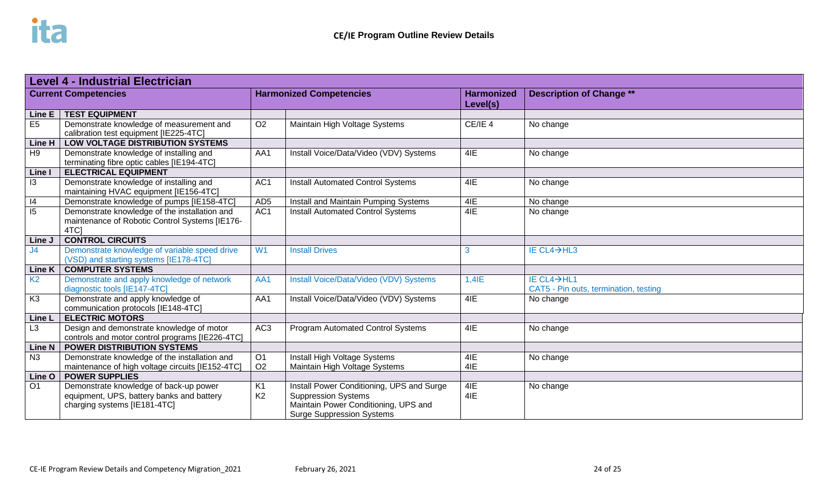| <b>Level 4 - Industrial Electrician</b> |                                                                                                         |                                |                                                                                                        |                               |                                                                   |  |  |  |
|-----------------------------------------|---------------------------------------------------------------------------------------------------------|--------------------------------|--------------------------------------------------------------------------------------------------------|-------------------------------|-------------------------------------------------------------------|--|--|--|
| <b>Current Competencies</b>             |                                                                                                         | <b>Harmonized Competencies</b> |                                                                                                        | <b>Harmonized</b><br>Level(s) | <b>Description of Change **</b>                                   |  |  |  |
| Line E                                  | <b>TEST EQUIPMENT</b>                                                                                   |                                |                                                                                                        |                               |                                                                   |  |  |  |
| E <sub>5</sub>                          | Demonstrate knowledge of measurement and<br>calibration test equipment [IE225-4TC]                      | O <sub>2</sub>                 | Maintain High Voltage Systems                                                                          | CE/IE 4                       | No change                                                         |  |  |  |
| Line H                                  | LOW VOLTAGE DISTRIBUTION SYSTEMS                                                                        |                                |                                                                                                        |                               |                                                                   |  |  |  |
| H <sub>9</sub>                          | Demonstrate knowledge of installing and<br>terminating fibre optic cables [IE194-4TC]                   | AA1                            | Install Voice/Data/Video (VDV) Systems                                                                 | 4IE                           | No change                                                         |  |  |  |
| Line I                                  | <b>ELECTRICAL EQUIPMENT</b>                                                                             |                                |                                                                                                        |                               |                                                                   |  |  |  |
| $\overline{3}$                          | Demonstrate knowledge of installing and<br>maintaining HVAC equipment [IE156-4TC]                       | AC1                            | <b>Install Automated Control Systems</b>                                                               | 4IE                           | No change                                                         |  |  |  |
| 4                                       | Demonstrate knowledge of pumps [IE158-4TC]                                                              | AD <sub>5</sub>                | Install and Maintain Pumping Systems                                                                   | 4IE                           | No change                                                         |  |  |  |
| 15                                      | Demonstrate knowledge of the installation and<br>maintenance of Robotic Control Systems [IE176-<br>4TCI | AC <sub>1</sub>                | <b>Install Automated Control Systems</b>                                                               | 4IE                           | No change                                                         |  |  |  |
| Line J                                  | <b>CONTROL CIRCUITS</b>                                                                                 |                                |                                                                                                        |                               |                                                                   |  |  |  |
| J <sub>4</sub>                          | Demonstrate knowledge of variable speed drive<br>(VSD) and starting systems [IE178-4TC]                 | W1                             | <b>Install Drives</b>                                                                                  | 3                             | <b>IE CL4→HL3</b>                                                 |  |  |  |
| Line K                                  | <b>COMPUTER SYSTEMS</b>                                                                                 |                                |                                                                                                        |                               |                                                                   |  |  |  |
| K <sub>2</sub>                          | Demonstrate and apply knowledge of network<br>diagnostic tools [IE147-4TC]                              | AA1                            | Install Voice/Data/Video (VDV) Systems                                                                 | 1,4IE                         | IE $CL4 \rightarrow HL1$<br>CAT5 - Pin outs, termination, testing |  |  |  |
| K <sub>3</sub>                          | Demonstrate and apply knowledge of<br>communication protocols [IE148-4TC]                               | AA1                            | Install Voice/Data/Video (VDV) Systems                                                                 | 4IE                           | No change                                                         |  |  |  |
| Line L                                  | <b>ELECTRIC MOTORS</b>                                                                                  |                                |                                                                                                        |                               |                                                                   |  |  |  |
| L <sub>3</sub>                          | Design and demonstrate knowledge of motor<br>controls and motor control programs [IE226-4TC]            | AC <sub>3</sub>                | <b>Program Automated Control Systems</b>                                                               | 4IE                           | No change                                                         |  |  |  |
| Line N                                  | <b>POWER DISTRIBUTION SYSTEMS</b>                                                                       |                                |                                                                                                        |                               |                                                                   |  |  |  |
| N3                                      | Demonstrate knowledge of the installation and                                                           | O <sub>1</sub>                 | Install High Voltage Systems                                                                           | 4IE                           | No change                                                         |  |  |  |
|                                         | maintenance of high voltage circuits [IE152-4TC]                                                        | O <sub>2</sub>                 | Maintain High Voltage Systems                                                                          | 4IE                           |                                                                   |  |  |  |
| Line O                                  | <b>POWER SUPPLIES</b>                                                                                   |                                |                                                                                                        |                               |                                                                   |  |  |  |
| O <sub>1</sub>                          | Demonstrate knowledge of back-up power                                                                  | K <sub>1</sub>                 | Install Power Conditioning, UPS and Surge                                                              | 4IE                           | No change                                                         |  |  |  |
|                                         | equipment, UPS, battery banks and battery<br>charging systems [IE181-4TC]                               | K <sub>2</sub>                 | <b>Suppression Systems</b><br>Maintain Power Conditioning, UPS and<br><b>Surge Suppression Systems</b> | 4IE                           |                                                                   |  |  |  |